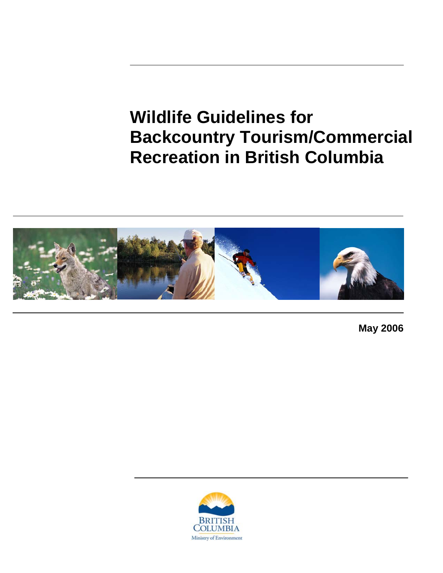# **Wildlife Guidelines for Backcountry Tourism/Commercial Recreation in British Columbia**



**May 2006** 

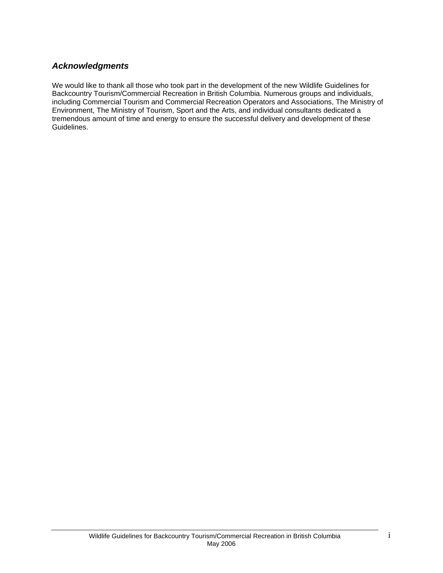# *Acknowledgments*

We would like to thank all those who took part in the development of the new Wildlife Guidelines for Backcountry Tourism/Commercial Recreation in British Columbia. Numerous groups and individuals, including Commercial Tourism and Commercial Recreation Operators and Associations, The Ministry of Environment, The Ministry of Tourism, Sport and the Arts, and individual consultants dedicated a tremendous amount of time and energy to ensure the successful delivery and development of these Guidelines.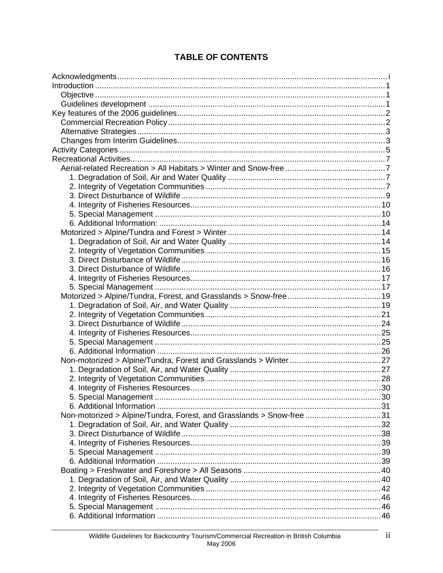| Non-motorized > Alpine/Tundra, Forest, and Grasslands > Snow-free 31 |  |
|----------------------------------------------------------------------|--|
|                                                                      |  |
|                                                                      |  |
|                                                                      |  |
|                                                                      |  |
|                                                                      |  |
|                                                                      |  |
|                                                                      |  |
|                                                                      |  |
|                                                                      |  |
|                                                                      |  |
|                                                                      |  |

# **TABLE OF CONTENTS**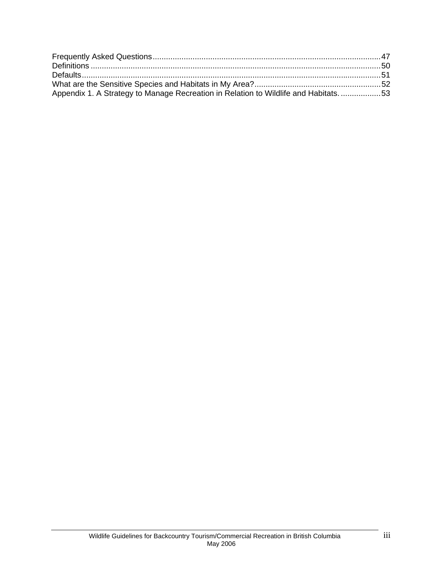| Appendix 1. A Strategy to Manage Recreation in Relation to Wildlife and Habitats53 |  |
|------------------------------------------------------------------------------------|--|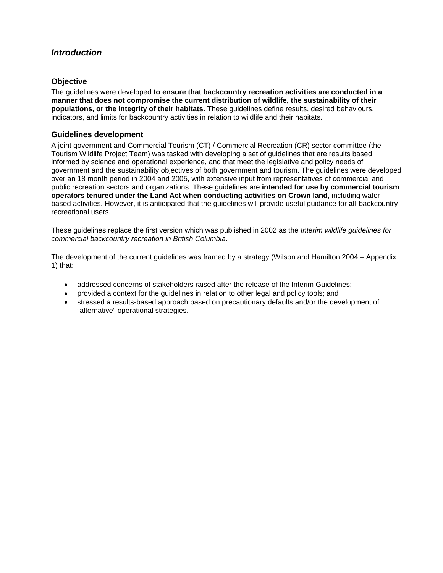## *Introduction*

## **Objective**

The guidelines were developed **to ensure that backcountry recreation activities are conducted in a manner that does not compromise the current distribution of wildlife, the sustainability of their populations, or the integrity of their habitats.** These guidelines define results, desired behaviours, indicators, and limits for backcountry activities in relation to wildlife and their habitats.

#### **Guidelines development**

A joint government and Commercial Tourism (CT) / Commercial Recreation (CR) sector committee (the Tourism Wildlife Project Team) was tasked with developing a set of guidelines that are results based, informed by science and operational experience, and that meet the legislative and policy needs of government and the sustainability objectives of both government and tourism. The guidelines were developed over an 18 month period in 2004 and 2005, with extensive input from representatives of commercial and public recreation sectors and organizations. These guidelines are **intended for use by commercial tourism operators tenured under the Land Act when conducting activities on Crown land**, including waterbased activities. However, it is anticipated that the guidelines will provide useful guidance for **all** backcountry recreational users.

These guidelines replace the first version which was published in 2002 as the *Interim wildlife guidelines for commercial backcountry recreation in British Columbia*.

The development of the current guidelines was framed by a strategy (Wilson and Hamilton 2004 – Appendix 1) that:

- addressed concerns of stakeholders raised after the release of the Interim Guidelines;
- provided a context for the guidelines in relation to other legal and policy tools; and
- stressed a results-based approach based on precautionary defaults and/or the development of "alternative" operational strategies.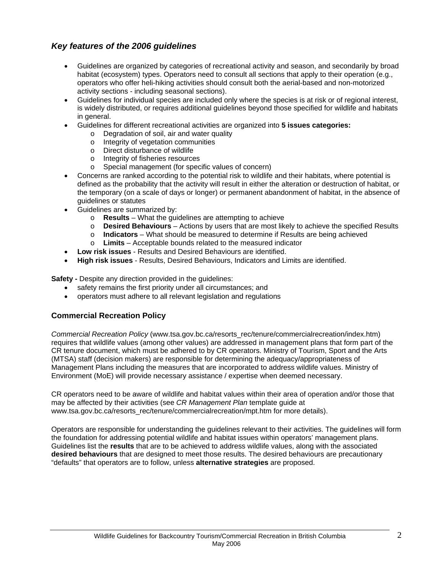# *Key features of the 2006 guidelines*

- Guidelines are organized by categories of recreational activity and season, and secondarily by broad habitat (ecosystem) types. Operators need to consult all sections that apply to their operation (e.g., operators who offer heli-hiking activities should consult both the aerial-based and non-motorized activity sections - including seasonal sections).
- Guidelines for individual species are included only where the species is at risk or of regional interest, is widely distributed, or requires additional guidelines beyond those specified for wildlife and habitats in general.
- Guidelines for different recreational activities are organized into **5 issues categories:** 
	- o Degradation of soil, air and water quality
	- o Integrity of vegetation communities
	- o Direct disturbance of wildlife
	- o Integrity of fisheries resources
	- o Special management (for specific values of concern)
- Concerns are ranked according to the potential risk to wildlife and their habitats, where potential is defined as the probability that the activity will result in either the alteration or destruction of habitat, or the temporary (on a scale of days or longer) or permanent abandonment of habitat, in the absence of guidelines or statutes
- Guidelines are summarized by:
	- o **Results** What the guidelines are attempting to achieve
	- o **Desired Behaviours** Actions by users that are most likely to achieve the specified Results
	- o **Indicators** What should be measured to determine if Results are being achieved
	- o **Limits** Acceptable bounds related to the measured indicator
- **Low risk issues** Results and Desired Behaviours are identified.
- **High risk issues** Results, Desired Behaviours, Indicators and Limits are identified.

**Safety -** Despite any direction provided in the guidelines:

- safety remains the first priority under all circumstances; and
- operators must adhere to all relevant legislation and regulations

## **Commercial Recreation Policy**

*Commercial Recreation Policy* (www.tsa.gov.bc.ca/resorts\_rec/tenure/commercialrecreation/index.htm) requires that wildlife values (among other values) are addressed in management plans that form part of the CR tenure document, which must be adhered to by CR operators. Ministry of Tourism, Sport and the Arts (MTSA) staff (decision makers) are responsible for determining the adequacy/appropriateness of Management Plans including the measures that are incorporated to address wildlife values. Ministry of Environment (MoE) will provide necessary assistance / expertise when deemed necessary.

CR operators need to be aware of wildlife and habitat values within their area of operation and/or those that may be affected by their activities (see *CR Management Plan* template guide at www.tsa.gov.bc.ca/resorts\_rec/tenure/commercialrecreation/mpt.htm for more details).

Operators are responsible for understanding the guidelines relevant to their activities. The guidelines will form the foundation for addressing potential wildlife and habitat issues within operators' management plans. Guidelines list the **results** that are to be achieved to address wildlife values, along with the associated **desired behaviours** that are designed to meet those results. The desired behaviours are precautionary "defaults" that operators are to follow, unless **alternative strategies** are proposed.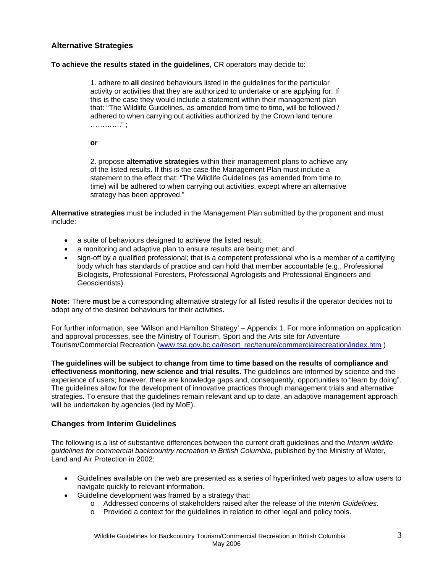## **Alternative Strategies**

#### **To achieve the results stated in the guidelines**, CR operators may decide to:

1. adhere to **all** desired behaviours listed in the guidelines for the particular activity or activities that they are authorized to undertake or are applying for. If this is the case they would include a statement within their management plan that: "The Wildlife Guidelines, as amended from time to time, will be followed / adhered to when carrying out activities authorized by the Crown land tenure …………." ;

**or**

2. propose **alternative strategies** within their management plans to achieve any of the listed results. If this is the case the Management Plan must include a statement to the effect that: "The Wildlife Guidelines (as amended from time to time) will be adhered to when carrying out activities, except where an alternative strategy has been approved."

**Alternative strategies** must be included in the Management Plan submitted by the proponent and must include:

- a suite of behaviours designed to achieve the listed result;
- a monitoring and adaptive plan to ensure results are being met; and
- sign-off by a qualified professional; that is a competent professional who is a member of a certifying body which has standards of practice and can hold that member accountable (e.g., Professional Biologists, Professional Foresters, Professional Agrologists and Professional Engineers and Geoscientists).

**Note:** There **must** be a corresponding alternative strategy for all listed results if the operator decides not to adopt any of the desired behaviours for their activities.

For further information, see 'Wilson and Hamilton Strategy' – Appendix 1. For more information on application and approval processes, see the Ministry of Tourism, Sport and the Arts site for Adventure Tourism/Commercial Recreation (www.tsa.gov.bc.ca/resort\_rec/tenure/commercialrecreation/index.htm )

**The guidelines will be subject to change from time to time based on the results of compliance and effectiveness monitoring, new science and trial results**. The guidelines are informed by science and the experience of users; however, there are knowledge gaps and, consequently, opportunities to "learn by doing". The guidelines allow for the development of innovative practices through management trials and alternative strategies. To ensure that the guidelines remain relevant and up to date, an adaptive management approach will be undertaken by agencies (led by MoE).

## **Changes from Interim Guidelines**

The following is a list of substantive differences between the current draft guidelines and the *Interim wildlife guidelines for commercial backcountry recreation in British Columbia,* published by the Ministry of Water, Land and Air Protection in 2002:

- Guidelines available on the web are presented as a series of hyperlinked web pages to allow users to navigate quickly to relevant information.
- Guideline development was framed by a strategy that:
	- o Addressed concerns of stakeholders raised after the release of the *Interim Guidelines.*
	- o Provided a context for the guidelines in relation to other legal and policy tools.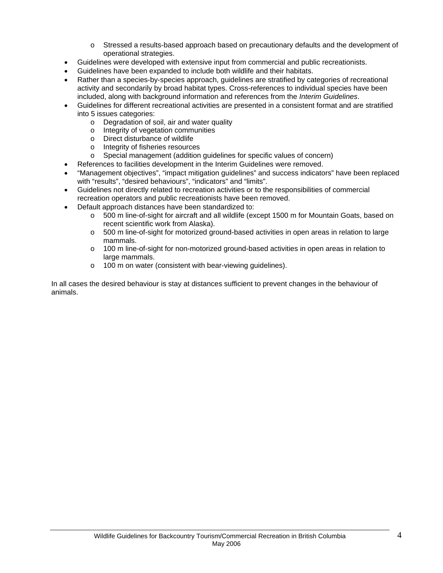- o Stressed a results-based approach based on precautionary defaults and the development of operational strategies.
- Guidelines were developed with extensive input from commercial and public recreationists.
- Guidelines have been expanded to include both wildlife and their habitats.
- Rather than a species-by-species approach, guidelines are stratified by categories of recreational activity and secondarily by broad habitat types. Cross-references to individual species have been included, along with background information and references from the *Interim Guidelines*.
- Guidelines for different recreational activities are presented in a consistent format and are stratified into 5 issues categories:
	- $\circ$  Degradation of soil, air and water quality  $\circ$  Integrity of vegetation communities
	- Integrity of vegetation communities
	- o Direct disturbance of wildlife
	- o Integrity of fisheries resources
	- o Special management (addition guidelines for specific values of concern)
	- References to facilities development in the Interim Guidelines were removed.
- "Management objectives", "impact mitigation guidelines" and success indicators" have been replaced with "results", "desired behaviours", "indicators" and "limits".
- Guidelines not directly related to recreation activities or to the responsibilities of commercial recreation operators and public recreationists have been removed.
- Default approach distances have been standardized to:
	- o 500 m line-of-sight for aircraft and all wildlife (except 1500 m for Mountain Goats, based on recent scientific work from Alaska).
	- $\circ$  500 m line-of-sight for motorized ground-based activities in open areas in relation to large mammals.
	- o 100 m line-of-sight for non-motorized ground-based activities in open areas in relation to large mammals.
	- o 100 m on water (consistent with bear-viewing guidelines).

In all cases the desired behaviour is stay at distances sufficient to prevent changes in the behaviour of animals.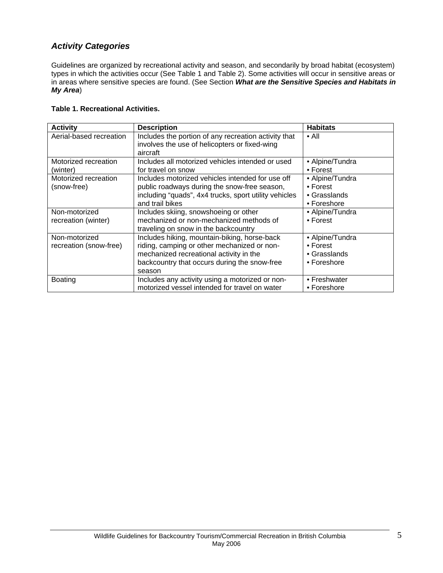# *Activity Categories*

Guidelines are organized by recreational activity and season, and secondarily by broad habitat (ecosystem) types in which the activities occur (See Table 1 and Table 2). Some activities will occur in sensitive areas or in areas where sensitive species are found. (See Section *What are the Sensitive Species and Habitats in My Area*)

#### **Table 1. Recreational Activities.**

| <b>Activity</b>         | <b>Description</b>                                    | <b>Habitats</b>      |
|-------------------------|-------------------------------------------------------|----------------------|
| Aerial-based recreation | Includes the portion of any recreation activity that  | $\bullet$ All        |
|                         | involves the use of helicopters or fixed-wing         |                      |
|                         | aircraft                                              |                      |
| Motorized recreation    | Includes all motorized vehicles intended or used      | • Alpine/Tundra      |
| (winter)                | for travel on snow                                    | $\bullet$ Forest     |
| Motorized recreation    | Includes motorized vehicles intended for use off      | • Alpine/Tundra      |
| (snow-free)             | public roadways during the snow-free season,          | $\bullet$ Forest     |
|                         | including "quads", 4x4 trucks, sport utility vehicles | $\bullet$ Grasslands |
|                         | and trail bikes                                       | • Foreshore          |
| Non-motorized           | Includes skiing, snowshoeing or other                 | • Alpine/Tundra      |
| recreation (winter)     | mechanized or non-mechanized methods of               | $\bullet$ Forest     |
|                         | traveling on snow in the backcountry                  |                      |
| Non-motorized           | Includes hiking, mountain-biking, horse-back          | • Alpine/Tundra      |
| recreation (snow-free)  | riding, camping or other mechanized or non-           | $\bullet$ Forest     |
|                         | mechanized recreational activity in the               | $\bullet$ Grasslands |
|                         | backcountry that occurs during the snow-free          | • Foreshore          |
|                         | season                                                |                      |
| <b>Boating</b>          | Includes any activity using a motorized or non-       | • Freshwater         |
|                         | motorized vessel intended for travel on water         | • Foreshore          |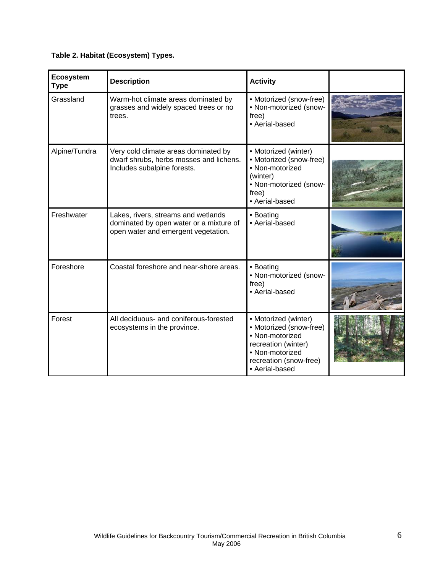## **Table 2. Habitat (Ecosystem) Types.**

| <b>Ecosystem</b><br><b>Type</b> | <b>Description</b>                                                                                                    | <b>Activity</b>                                                                                                                                          |  |
|---------------------------------|-----------------------------------------------------------------------------------------------------------------------|----------------------------------------------------------------------------------------------------------------------------------------------------------|--|
| Grassland                       | Warm-hot climate areas dominated by<br>grasses and widely spaced trees or no<br>trees.                                | • Motorized (snow-free)<br>• Non-motorized (snow-<br>free)<br>• Aerial-based                                                                             |  |
| Alpine/Tundra                   | Very cold climate areas dominated by<br>dwarf shrubs, herbs mosses and lichens.<br>Includes subalpine forests.        | • Motorized (winter)<br>• Motorized (snow-free)<br>• Non-motorized<br>(winter)<br>• Non-motorized (snow-<br>free)<br>• Aerial-based                      |  |
| Freshwater                      | Lakes, rivers, streams and wetlands<br>dominated by open water or a mixture of<br>open water and emergent vegetation. | • Boating<br>• Aerial-based                                                                                                                              |  |
| Foreshore                       | Coastal foreshore and near-shore areas.                                                                               | • Boating<br>• Non-motorized (snow-<br>free)<br>• Aerial-based                                                                                           |  |
| Forest                          | All deciduous- and coniferous-forested<br>ecosystems in the province.                                                 | • Motorized (winter)<br>• Motorized (snow-free)<br>• Non-motorized<br>recreation (winter)<br>• Non-motorized<br>recreation (snow-free)<br>• Aerial-based |  |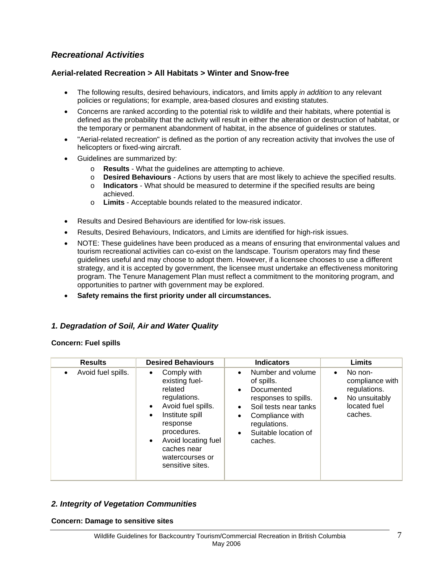# *Recreational Activities*

## **Aerial-related Recreation > All Habitats > Winter and Snow-free**

- The following results, desired behaviours, indicators, and limits apply *in addition* to any relevant policies or regulations; for example, area-based closures and existing statutes.
- Concerns are ranked according to the potential risk to wildlife and their habitats, where potential is defined as the probability that the activity will result in either the alteration or destruction of habitat, or the temporary or permanent abandonment of habitat, in the absence of guidelines or statutes.
- "Aerial-related recreation" is defined as the portion of any recreation activity that involves the use of helicopters or fixed-wing aircraft.
- Guidelines are summarized by:
	- o **Results** What the guidelines are attempting to achieve.
	- o **Desired Behaviours** Actions by users that are most likely to achieve the specified results.
	- o **Indicators**  What should be measured to determine if the specified results are being achieved.
	- o **Limits** Acceptable bounds related to the measured indicator.
- Results and Desired Behaviours are identified for low-risk issues.
- Results, Desired Behaviours, Indicators, and Limits are identified for high-risk issues.
- NOTE: These guidelines have been produced as a means of ensuring that environmental values and tourism recreational activities can co-exist on the landscape. Tourism operators may find these guidelines useful and may choose to adopt them. However, if a licensee chooses to use a different strategy, and it is accepted by government, the licensee must undertake an effectiveness monitoring program. The Tenure Management Plan must reflect a commitment to the monitoring program, and opportunities to partner with government may be explored.
- **Safety remains the first priority under all circumstances.**

## *1. Degradation of Soil, Air and Water Quality*

#### **Concern: Fuel spills**

| <b>Results</b>                  | <b>Desired Behaviours</b>                                                                                                                                                                                                                                     | <b>Indicators</b>                                                                                                                                                                                           | Limits                                                                                                           |
|---------------------------------|---------------------------------------------------------------------------------------------------------------------------------------------------------------------------------------------------------------------------------------------------------------|-------------------------------------------------------------------------------------------------------------------------------------------------------------------------------------------------------------|------------------------------------------------------------------------------------------------------------------|
| Avoid fuel spills.<br>$\bullet$ | Comply with<br>$\bullet$<br>existing fuel-<br>related<br>regulations.<br>Avoid fuel spills.<br>$\bullet$<br>Institute spill<br>$\bullet$<br>response<br>procedures.<br>Avoid locating fuel<br>$\bullet$<br>caches near<br>watercourses or<br>sensitive sites. | Number and volume<br>$\bullet$<br>of spills.<br>Documented<br>$\bullet$<br>responses to spills.<br>Soil tests near tanks<br>Compliance with<br>regulations.<br>Suitable location of<br>$\bullet$<br>caches. | No non-<br>$\bullet$<br>compliance with<br>regulations.<br>No unsuitably<br>$\bullet$<br>located fuel<br>caches. |

## *2. Integrity of Vegetation Communities*

#### **Concern: Damage to sensitive sites**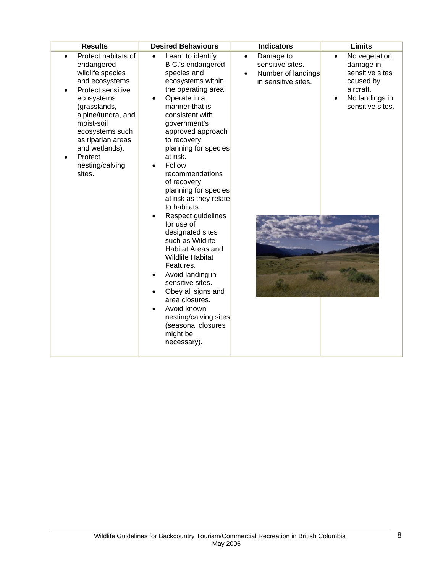| <b>Results</b>                                                                                                                                                                                                                                                    | <b>Desired Behaviours</b>                                                                                                                                                                                                                                                                                                                                                                                                                                                                                                                                                                                                                                                      | <b>Indicators</b>                                                                       | <b>Limits</b>                                                                                                                           |
|-------------------------------------------------------------------------------------------------------------------------------------------------------------------------------------------------------------------------------------------------------------------|--------------------------------------------------------------------------------------------------------------------------------------------------------------------------------------------------------------------------------------------------------------------------------------------------------------------------------------------------------------------------------------------------------------------------------------------------------------------------------------------------------------------------------------------------------------------------------------------------------------------------------------------------------------------------------|-----------------------------------------------------------------------------------------|-----------------------------------------------------------------------------------------------------------------------------------------|
| Protect habitats of<br>endangered<br>wildlife species<br>and ecosystems.<br>Protect sensitive<br>ecosystems<br>(grasslands,<br>alpine/tundra, and<br>moist-soil<br>ecosystems such<br>as riparian areas<br>and wetlands).<br>Protect<br>nesting/calving<br>sites. | Learn to identify<br>B.C.'s endangered<br>species and<br>ecosystems within<br>the operating area.<br>Operate in a<br>manner that is<br>consistent with<br>government's<br>approved approach<br>to recovery<br>planning for species<br>at risk.<br>Follow<br>recommendations<br>of recovery<br>planning for species<br>at risk as they relate<br>to habitats.<br>Respect guidelines<br>for use of<br>designated sites<br>such as Wildlife<br>Habitat Areas and<br><b>Wildlife Habitat</b><br>Features.<br>Avoid landing in<br>sensitive sites.<br>Obey all signs and<br>area closures.<br>Avoid known<br>nesting/calving sites<br>(seasonal closures<br>might be<br>necessary). | Damage to<br>$\bullet$<br>sensitive sites.<br>Number of landings<br>in sensitive sites. | No vegetation<br>$\bullet$<br>damage in<br>sensitive sites<br>caused by<br>aircraft.<br>No landings in<br>$\bullet$<br>sensitive sites. |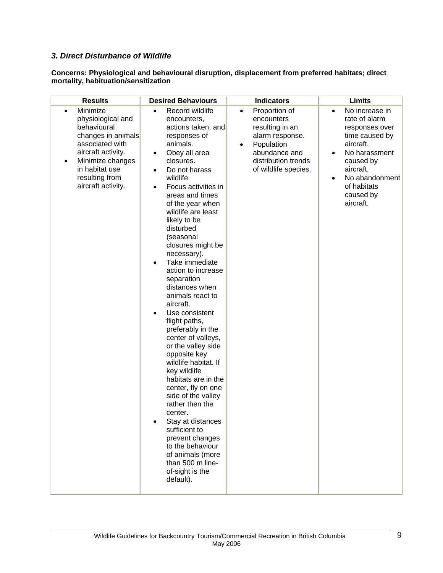## *3. Direct Disturbance of Wildlife*

#### **Concerns: Physiological and behavioural disruption, displacement from preferred habitats; direct mortality, habituation/sensitization**

| <b>Results</b>                                                                                                                                                                                         | <b>Desired Behaviours</b>                                                                                                                                                                                                                                                                                                                                                                                                                                                                                                                                                                                                                                                                                                                                                                                                                                                        | <b>Indicators</b>                                                                                                                                                         | <b>Limits</b>                                                                                                                                                                                                                 |
|--------------------------------------------------------------------------------------------------------------------------------------------------------------------------------------------------------|----------------------------------------------------------------------------------------------------------------------------------------------------------------------------------------------------------------------------------------------------------------------------------------------------------------------------------------------------------------------------------------------------------------------------------------------------------------------------------------------------------------------------------------------------------------------------------------------------------------------------------------------------------------------------------------------------------------------------------------------------------------------------------------------------------------------------------------------------------------------------------|---------------------------------------------------------------------------------------------------------------------------------------------------------------------------|-------------------------------------------------------------------------------------------------------------------------------------------------------------------------------------------------------------------------------|
| Minimize<br>physiological and<br>behavioural<br>changes in animals<br>associated with<br>aircraft activity.<br>Minimize changes<br>$\bullet$<br>in habitat use<br>resulting from<br>aircraft activity. | Record wildlife<br>$\bullet$<br>encounters,<br>actions taken, and<br>responses of<br>animals.<br>Obey all area<br>$\bullet$<br>closures.<br>Do not harass<br>$\bullet$<br>wildlife.<br>Focus activities in<br>areas and times<br>of the year when<br>wildlife are least<br>likely to be<br>disturbed<br>(seasonal<br>closures might be<br>necessary).<br>Take immediate<br>action to increase<br>separation<br>distances when<br>animals react to<br>aircraft.<br>Use consistent<br>flight paths,<br>preferably in the<br>center of valleys,<br>or the valley side<br>opposite key<br>wildlife habitat. If<br>key wildlife<br>habitats are in the<br>center, fly on one<br>side of the valley<br>rather then the<br>center.<br>Stay at distances<br>sufficient to<br>prevent changes<br>to the behaviour<br>of animals (more<br>than 500 m line-<br>of-sight is the<br>default). | Proportion of<br>$\bullet$<br>encounters<br>resulting in an<br>alarm response.<br>Population<br>$\bullet$<br>abundance and<br>distribution trends<br>of wildlife species. | No increase in<br>$\bullet$<br>rate of alarm<br>responses_over<br>time caused by<br>aircraft.<br>No harassment<br>$\bullet$<br>caused by<br>aircraft.<br>No abandonment<br>$\bullet$<br>of habitats<br>caused by<br>aircraft. |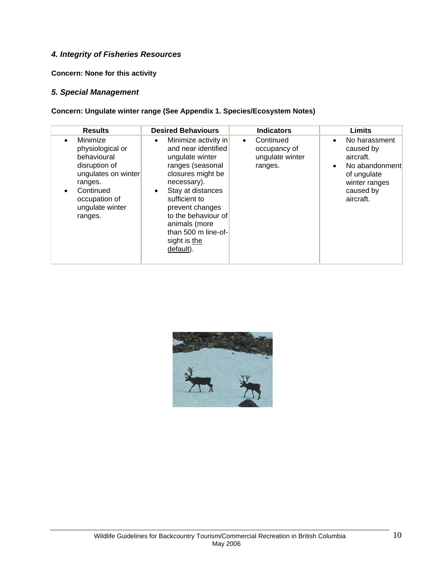## *4. Integrity of Fisheries Resources*

**Concern: None for this activity**

#### *5. Special Management*

**Concern: Ungulate winter range (See Appendix 1. Species/Ecosystem Notes)** 

| <b>Results</b>                                                                                                                                                          | <b>Desired Behaviours</b>                                                                                                                                                                                                                                                                     | <b>Indicators</b>                                                    | <b>Limits</b>                                                                                                                                 |
|-------------------------------------------------------------------------------------------------------------------------------------------------------------------------|-----------------------------------------------------------------------------------------------------------------------------------------------------------------------------------------------------------------------------------------------------------------------------------------------|----------------------------------------------------------------------|-----------------------------------------------------------------------------------------------------------------------------------------------|
| Minimize<br>$\bullet$<br>physiological or<br>behavioural<br>disruption of<br>ungulates on winter<br>ranges.<br>Continued<br>occupation of<br>ungulate winter<br>ranges. | Minimize activity in<br>$\bullet$<br>and near identified<br>ungulate winter<br>ranges (seasonal<br>closures might be<br>necessary).<br>Stay at distances<br>٠<br>sufficient to<br>prevent changes<br>to the behaviour of<br>animals (more<br>than 500 m line-of-<br>sight is the<br>default). | Continued<br>$\bullet$<br>occupancy of<br>ungulate winter<br>ranges. | No harassment<br>$\bullet$<br>caused by<br>aircraft.<br>No abandonment<br>$\bullet$<br>of ungulate<br>winter ranges<br>caused by<br>aircraft. |

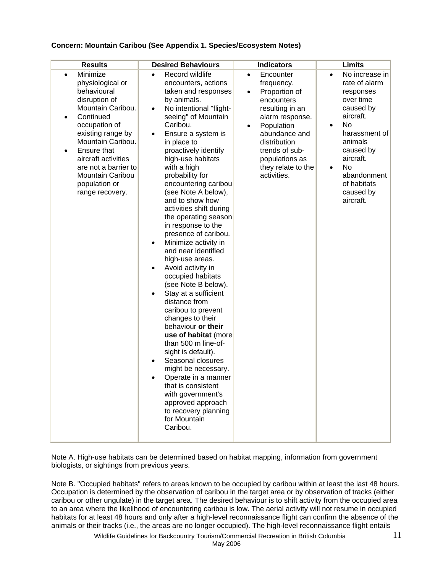#### **Concern: Mountain Caribou (See Appendix 1. Species/Ecosystem Notes)**

| <b>Results</b>                                                                                                                                                                                                                                                                                            | <b>Desired Behaviours</b>                                                                                                                                                                                                                                                                                                                                                                                                                                                                                                                                                                                                                                                                                                                                                                                                                                                                                                                                           | <b>Indicators</b>                                                                                                                                                                                                                                           | <b>Limits</b>                                                                                                                                                                                                                                               |
|-----------------------------------------------------------------------------------------------------------------------------------------------------------------------------------------------------------------------------------------------------------------------------------------------------------|---------------------------------------------------------------------------------------------------------------------------------------------------------------------------------------------------------------------------------------------------------------------------------------------------------------------------------------------------------------------------------------------------------------------------------------------------------------------------------------------------------------------------------------------------------------------------------------------------------------------------------------------------------------------------------------------------------------------------------------------------------------------------------------------------------------------------------------------------------------------------------------------------------------------------------------------------------------------|-------------------------------------------------------------------------------------------------------------------------------------------------------------------------------------------------------------------------------------------------------------|-------------------------------------------------------------------------------------------------------------------------------------------------------------------------------------------------------------------------------------------------------------|
| Minimize<br>$\bullet$<br>physiological or<br>behavioural<br>disruption of<br>Mountain Caribou.<br>Continued<br>occupation of<br>existing range by<br>Mountain Caribou.<br>Ensure that<br>$\bullet$<br>aircraft activities<br>are not a barrier to<br>Mountain Caribou<br>population or<br>range recovery. | Record wildlife<br>$\bullet$<br>encounters, actions<br>taken and responses<br>by animals.<br>No intentional "flight-<br>seeing" of Mountain<br>Caribou.<br>Ensure a system is<br>$\bullet$<br>in place to<br>proactively identify<br>high-use habitats<br>with a high<br>probability for<br>encountering caribou<br>(see Note A below),<br>and to show how<br>activities shift during<br>the operating season<br>in response to the<br>presence of caribou.<br>Minimize activity in<br>and near identified<br>high-use areas.<br>Avoid activity in<br>occupied habitats<br>(see Note B below).<br>Stay at a sufficient<br>distance from<br>caribou to prevent<br>changes to their<br>behaviour or their<br>use of habitat (more<br>than 500 m line-of-<br>sight is default).<br>Seasonal closures<br>might be necessary.<br>Operate in a manner<br>that is consistent<br>with government's<br>approved approach<br>to recovery planning<br>for Mountain<br>Caribou. | Encounter<br>$\bullet$<br>frequency.<br>Proportion of<br>$\bullet$<br>encounters<br>resulting in an<br>alarm response.<br>Population<br>$\bullet$<br>abundance and<br>distribution<br>trends of sub-<br>populations as<br>they relate to the<br>activities. | No increase in<br>$\bullet$<br>rate of alarm<br>responses<br>over time<br>caused by<br>aircraft.<br>No<br>$\bullet$<br>harassment of<br>animals<br>caused by<br>aircraft.<br><b>No</b><br>$\bullet$<br>abandonment<br>of habitats<br>caused by<br>aircraft. |

Note A. High-use habitats can be determined based on habitat mapping, information from government biologists, or sightings from previous years.

Note B. "Occupied habitats" refers to areas known to be occupied by caribou within at least the last 48 hours. Occupation is determined by the observation of caribou in the target area or by observation of tracks (either caribou or other ungulate) in the target area. The desired behaviour is to shift activity from the occupied area to an area where the likelihood of encountering caribou is low. The aerial activity will not resume in occupied habitats for at least 48 hours and only after a high-level reconnaissance flight can confirm the absence of the animals or their tracks (i.e., the areas are no longer occupied). The high-level reconnaissance flight entails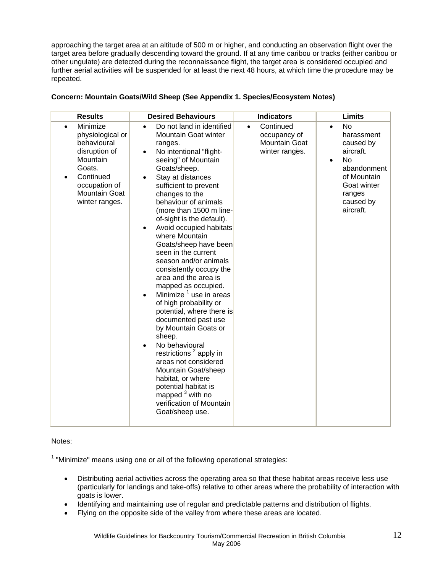approaching the target area at an altitude of 500 m or higher, and conducting an observation flight over the target area before gradually descending toward the ground. If at any time caribou or tracks (either caribou or other ungulate) are detected during the reconnaissance flight, the target area is considered occupied and further aerial activities will be suspended for at least the next 48 hours, at which time the procedure may be repeated.

| <b>Results</b>                                                                                                                                                   | <b>Desired Behaviours</b>                                                                                                                                                                                                                                                                                                                                                                                                                                                                                                                                                                                                                                                                                                                                                                                                                                                                                                                      | <b>Indicators</b>                                                                | <b>Limits</b>                                                                                                                                                       |
|------------------------------------------------------------------------------------------------------------------------------------------------------------------|------------------------------------------------------------------------------------------------------------------------------------------------------------------------------------------------------------------------------------------------------------------------------------------------------------------------------------------------------------------------------------------------------------------------------------------------------------------------------------------------------------------------------------------------------------------------------------------------------------------------------------------------------------------------------------------------------------------------------------------------------------------------------------------------------------------------------------------------------------------------------------------------------------------------------------------------|----------------------------------------------------------------------------------|---------------------------------------------------------------------------------------------------------------------------------------------------------------------|
| Minimize<br>$\bullet$<br>physiological or<br>behavioural<br>disruption of<br>Mountain<br>Goats.<br>Continued<br>occupation of<br>Mountain Goat<br>winter ranges. | Do not land in identified<br>$\bullet$<br><b>Mountain Goat winter</b><br>ranges.<br>No intentional "flight-<br>$\bullet$<br>seeing" of Mountain<br>Goats/sheep.<br>Stay at distances<br>$\bullet$<br>sufficient to prevent<br>changes to the<br>behaviour of animals<br>(more than 1500 m line-<br>of-sight is the default).<br>Avoid occupied habitats<br>$\bullet$<br>where Mountain<br>Goats/sheep have been<br>seen in the current<br>season and/or animals<br>consistently occupy the<br>area and the area is<br>mapped as occupied.<br>Minimize <sup>1</sup> use in areas<br>$\bullet$<br>of high probability or<br>potential, where there is<br>documented past use<br>by Mountain Goats or<br>sheep.<br>No behavioural<br>restrictions <sup>2</sup> apply in<br>areas not considered<br>Mountain Goat/sheep<br>habitat, or where<br>potential habitat is<br>mapped <sup>3</sup> with no<br>verification of Mountain<br>Goat/sheep use. | Continued<br>$\bullet$<br>occupancy of<br><b>Mountain Goat</b><br>winter ranges. | No.<br>$\bullet$<br>harassment<br>caused by<br>aircraft.<br><b>No</b><br>$\bullet$<br>abandonment<br>of Mountain<br>Goat winter<br>ranges<br>caused by<br>aircraft. |

#### **Concern: Mountain Goats/Wild Sheep (See Appendix 1. Species/Ecosystem Notes)**

#### Notes:

 $1$  "Minimize" means using one or all of the following operational strategies:

- Distributing aerial activities across the operating area so that these habitat areas receive less use (particularly for landings and take-offs) relative to other areas where the probability of interaction with goats is lower.
- Identifying and maintaining use of regular and predictable patterns and distribution of flights.
- Flying on the opposite side of the valley from where these areas are located.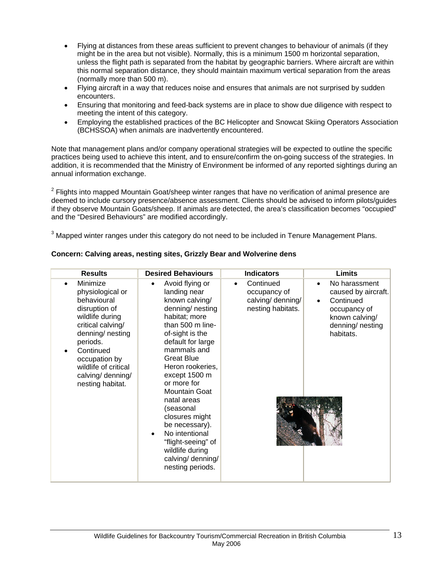- Flying at distances from these areas sufficient to prevent changes to behaviour of animals (if they might be in the area but not visible). Normally, this is a minimum 1500 m horizontal separation, unless the flight path is separated from the habitat by geographic barriers. Where aircraft are within this normal separation distance, they should maintain maximum vertical separation from the areas (normally more than 500 m).
- Flying aircraft in a way that reduces noise and ensures that animals are not surprised by sudden encounters.
- Ensuring that monitoring and feed-back systems are in place to show due diligence with respect to meeting the intent of this category.
- Employing the established practices of the BC Helicopter and Snowcat Skiing Operators Association (BCHSSOA) when animals are inadvertently encountered.

Note that management plans and/or company operational strategies will be expected to outline the specific practices being used to achieve this intent, and to ensure/confirm the on-going success of the strategies. In addition, it is recommended that the Ministry of Environment be informed of any reported sightings during an annual information exchange.

 $2$  Flights into mapped Mountain Goat/sheep winter ranges that have no verification of animal presence are deemed to include cursory presence/absence assessment. Clients should be advised to inform pilots/guides if they observe Mountain Goats/sheep. If animals are detected, the area's classification becomes "occupied" and the "Desired Behaviours" are modified accordingly.

 $3$  Mapped winter ranges under this category do not need to be included in Tenure Management Plans.

| <b>Results</b>                                                                                                                                                                                                                      | <b>Desired Behaviours</b>                                                                                                                                                                                                                                                                                                                                                                                                                          | <b>Indicators</b>                                                                | Limits                                                                                                                                         |
|-------------------------------------------------------------------------------------------------------------------------------------------------------------------------------------------------------------------------------------|----------------------------------------------------------------------------------------------------------------------------------------------------------------------------------------------------------------------------------------------------------------------------------------------------------------------------------------------------------------------------------------------------------------------------------------------------|----------------------------------------------------------------------------------|------------------------------------------------------------------------------------------------------------------------------------------------|
| Minimize<br>physiological or<br>behavioural<br>disruption of<br>wildlife during<br>critical calving/<br>denning/ nesting<br>periods.<br>Continued<br>occupation by<br>wildlife of critical<br>calving/ denning/<br>nesting habitat. | Avoid flying or<br>$\bullet$<br>landing near<br>known calving/<br>denning/nesting<br>habitat; more<br>than 500 m line-<br>of-sight is the<br>default for large<br>mammals and<br><b>Great Blue</b><br>Heron rookeries,<br>except 1500 m<br>or more for<br><b>Mountain Goat</b><br>natal areas<br>(seasonal<br>closures might<br>be necessary).<br>No intentional<br>"flight-seeing" of<br>wildlife during<br>calving/ denning/<br>nesting periods. | Continued<br>$\bullet$<br>occupancy of<br>calving/ denning/<br>nesting habitats. | No harassment<br>$\bullet$<br>caused by aircraft.<br>Continued<br>$\bullet$<br>occupancy of<br>known calving/<br>denning/ nesting<br>habitats. |

#### **Concern: Calving areas, nesting sites, Grizzly Bear and Wolverine dens**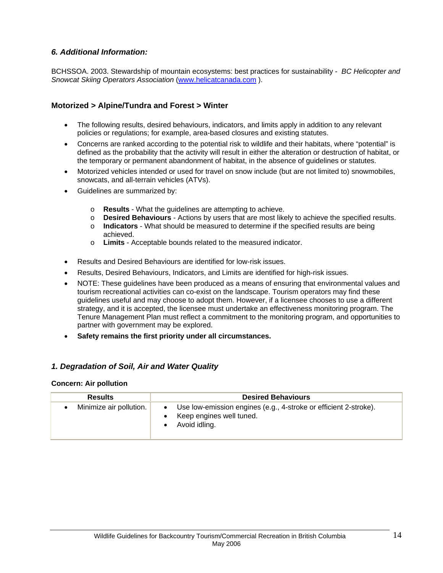## *6. Additional Information:*

BCHSSOA. 2003. Stewardship of mountain ecosystems: best practices for sustainability - *BC Helicopter and Snowcat Skiing Operators Association* (www.helicatcanada.com ).

## **Motorized > Alpine/Tundra and Forest > Winter**

- The following results, desired behaviours, indicators, and limits apply in addition to any relevant policies or regulations; for example, area-based closures and existing statutes.
- Concerns are ranked according to the potential risk to wildlife and their habitats, where "potential" is defined as the probability that the activity will result in either the alteration or destruction of habitat, or the temporary or permanent abandonment of habitat, in the absence of guidelines or statutes.
- Motorized vehicles intended or used for travel on snow include (but are not limited to) snowmobiles, snowcats, and all-terrain vehicles (ATVs).
- Guidelines are summarized by:
	- o **Results** What the guidelines are attempting to achieve.
	- o **Desired Behaviours** Actions by users that are most likely to achieve the specified results.
	- o **Indicators**  What should be measured to determine if the specified results are being achieved.
	- o **Limits** Acceptable bounds related to the measured indicator.
- Results and Desired Behaviours are identified for low-risk issues.
- Results, Desired Behaviours, Indicators, and Limits are identified for high-risk issues.
- NOTE: These guidelines have been produced as a means of ensuring that environmental values and tourism recreational activities can co-exist on the landscape. Tourism operators may find these guidelines useful and may choose to adopt them. However, if a licensee chooses to use a different strategy, and it is accepted, the licensee must undertake an effectiveness monitoring program. The Tenure Management Plan must reflect a commitment to the monitoring program, and opportunities to partner with government may be explored.
- **Safety remains the first priority under all circumstances.**

#### *1. Degradation of Soil, Air and Water Quality*

#### **Concern: Air pollution**

| <b>Results</b>          | <b>Desired Behaviours</b>                                                                                     |
|-------------------------|---------------------------------------------------------------------------------------------------------------|
| Minimize air pollution. | Use low-emission engines (e.g., 4-stroke or efficient 2-stroke).<br>Keep engines well tuned.<br>Avoid idling. |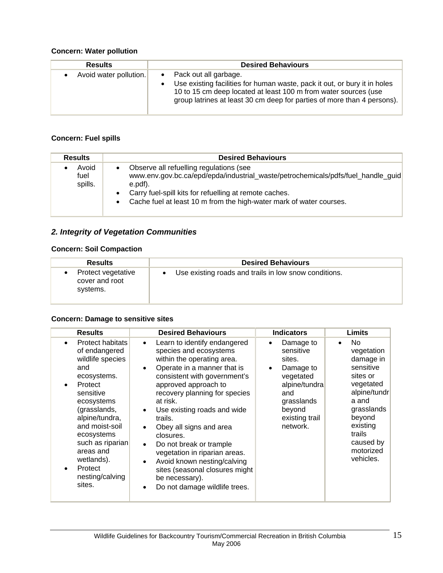# **Concern: Water pollution**

| <b>Results</b>         | <b>Desired Behaviours</b>                                                                                                                                                                                                                                       |
|------------------------|-----------------------------------------------------------------------------------------------------------------------------------------------------------------------------------------------------------------------------------------------------------------|
| Avoid water pollution. | • Pack out all garbage.<br>Use existing facilities for human waste, pack it out, or bury it in holes<br>$\bullet$<br>10 to 15 cm deep located at least 100 m from water sources (use<br>group latrines at least 30 cm deep for parties of more than 4 persons). |

## **Concern: Fuel spills**

| <b>Results</b>           | <b>Desired Behaviours</b>                                                                                                                                                                                                                                               |
|--------------------------|-------------------------------------------------------------------------------------------------------------------------------------------------------------------------------------------------------------------------------------------------------------------------|
| Avoid<br>fuel<br>spills. | Observe all refuelling regulations (see<br>www.env.gov.bc.ca/epd/epda/industrial_waste/petrochemicals/pdfs/fuel_handle_quid<br>e.pdf).<br>Carry fuel-spill kits for refuelling at remote caches.<br>Cache fuel at least 10 m from the high-water mark of water courses. |

# *2. Integrity of Vegetation Communities*

## **Concern: Soil Compaction**

| <b>Results</b>                                   | <b>Desired Behaviours</b>                             |
|--------------------------------------------------|-------------------------------------------------------|
| Protect vegetative<br>cover and root<br>systems. | Use existing roads and trails in low snow conditions. |

## **Concern: Damage to sensitive sites**

| <b>Results</b>                                                                                                                                                                                                                                                                                                           | <b>Desired Behaviours</b>                                                                                                                                                                                                                                                                                                                                                                                                                                                                                                                                                | <b>Indicators</b>                                                                                                                                                  | Limits                                                                                                                                                                            |
|--------------------------------------------------------------------------------------------------------------------------------------------------------------------------------------------------------------------------------------------------------------------------------------------------------------------------|--------------------------------------------------------------------------------------------------------------------------------------------------------------------------------------------------------------------------------------------------------------------------------------------------------------------------------------------------------------------------------------------------------------------------------------------------------------------------------------------------------------------------------------------------------------------------|--------------------------------------------------------------------------------------------------------------------------------------------------------------------|-----------------------------------------------------------------------------------------------------------------------------------------------------------------------------------|
| <b>Protect habitats</b><br>$\bullet$<br>of endangered<br>wildlife species<br>and<br>ecosystems.<br>Protect<br>$\bullet$<br>sensitive<br>ecosystems<br>(grasslands,<br>alpine/tundra,<br>and moist-soil<br>ecosystems<br>such as riparian<br>areas and<br>wetlands).<br>Protect<br>$\bullet$<br>nesting/calving<br>sites. | Learn to identify endangered<br>$\bullet$<br>species and ecosystems<br>within the operating area.<br>Operate in a manner that is<br>$\bullet$<br>consistent with government's<br>approved approach to<br>recovery planning for species<br>at risk.<br>Use existing roads and wide<br>$\bullet$<br>trails.<br>Obey all signs and area<br>closures.<br>Do not break or trample<br>$\bullet$<br>vegetation in riparian areas.<br>Avoid known nesting/calving<br>$\bullet$<br>sites (seasonal closures might<br>be necessary).<br>Do not damage wildlife trees.<br>$\bullet$ | Damage to<br>$\bullet$<br>sensitive<br>sites.<br>Damage to<br>$\bullet$<br>vegetated<br>alpine/tundra<br>and<br>grasslands<br>beyond<br>existing trail<br>network. | No<br>vegetation<br>damage in<br>sensitive<br>sites or<br>vegetated<br>alpine/tundr<br>a and<br>grasslands<br>beyond<br>existing<br>trails<br>caused by<br>motorized<br>vehicles. |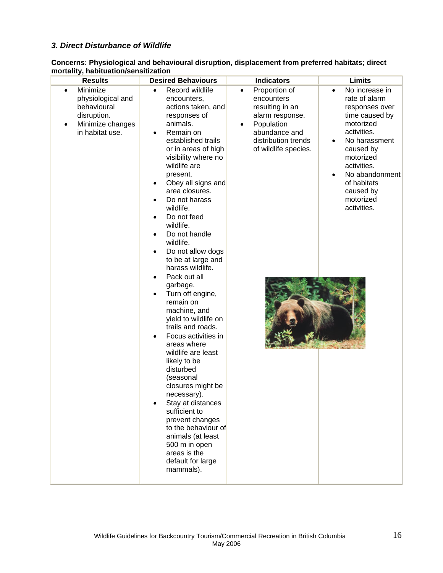## *3. Direct Disturbance of Wildlife*

**Concerns: Physiological and behavioural disruption, displacement from preferred habitats; direct mortality, habituation/sensitization** 

| <b>Results</b>                                                                                                               | <b>Desired Behaviours</b>                                                                                                                                                                                                                                                                                                                                                                                                                                                                                                                                                                                                                                                                                                                                                                                                                | <b>Indicators</b>                                                                                                                                                         | Limits                                                                                                                                                                                                                                           |
|------------------------------------------------------------------------------------------------------------------------------|------------------------------------------------------------------------------------------------------------------------------------------------------------------------------------------------------------------------------------------------------------------------------------------------------------------------------------------------------------------------------------------------------------------------------------------------------------------------------------------------------------------------------------------------------------------------------------------------------------------------------------------------------------------------------------------------------------------------------------------------------------------------------------------------------------------------------------------|---------------------------------------------------------------------------------------------------------------------------------------------------------------------------|--------------------------------------------------------------------------------------------------------------------------------------------------------------------------------------------------------------------------------------------------|
| Minimize<br>$\bullet$<br>physiological and<br>behavioural<br>disruption.<br>Minimize changes<br>$\bullet$<br>in habitat use. | Record wildlife<br>encounters,<br>actions taken, and<br>responses of<br>animals.<br>Remain on<br>established trails<br>or in areas of high<br>visibility where no<br>wildlife are<br>present.<br>Obey all signs and<br>area closures.<br>Do not harass<br>wildlife.<br>Do not feed<br>wildlife.<br>Do not handle<br>wildlife.<br>Do not allow dogs<br>to be at large and<br>harass wildlife.<br>Pack out all<br>garbage.<br>Turn off engine,<br>remain on<br>machine, and<br>yield to wildlife on<br>trails and roads.<br>Focus activities in<br>areas where<br>wildlife are least<br>likely to be<br>disturbed<br>(seasonal<br>closures might be<br>necessary).<br>Stay at distances<br>sufficient to<br>prevent changes<br>to the behaviour of<br>animals (at least<br>500 m in open<br>areas is the<br>default for large<br>mammals). | Proportion of<br>$\bullet$<br>encounters<br>resulting in an<br>alarm response.<br>Population<br>$\bullet$<br>abundance and<br>distribution trends<br>of wildlife species. | No increase in<br>$\bullet$<br>rate of alarm<br>responses over<br>time caused by<br>motorized<br>activities.<br>No harassment<br>caused by<br>motorized<br>activities.<br>No abandonment<br>of habitats<br>caused by<br>motorized<br>activities. |
|                                                                                                                              |                                                                                                                                                                                                                                                                                                                                                                                                                                                                                                                                                                                                                                                                                                                                                                                                                                          |                                                                                                                                                                           |                                                                                                                                                                                                                                                  |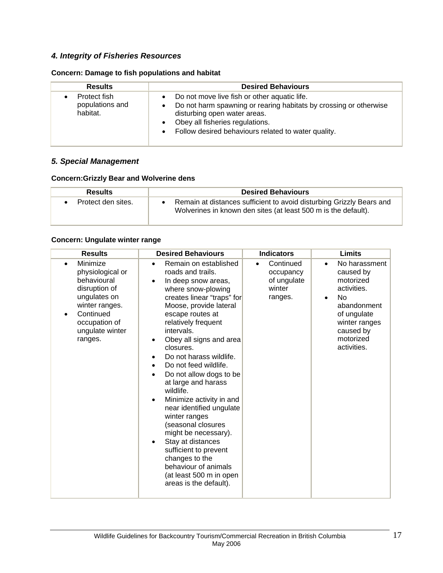# *4. Integrity of Fisheries Resources*

## **Concern: Damage to fish populations and habitat**

| <b>Results</b>                              | <b>Desired Behaviours</b>                                                                                                                                                                                                                   |
|---------------------------------------------|---------------------------------------------------------------------------------------------------------------------------------------------------------------------------------------------------------------------------------------------|
| Protect fish<br>populations and<br>habitat. | Do not move live fish or other aquatic life.<br>Do not harm spawning or rearing habitats by crossing or otherwise<br>disturbing open water areas.<br>Obey all fisheries regulations.<br>Follow desired behaviours related to water quality. |

## *5. Special Management*

#### **Concern:Grizzly Bear and Wolverine dens**

| <b>Results</b>     | <b>Desired Behaviours</b>                                                                                                              |
|--------------------|----------------------------------------------------------------------------------------------------------------------------------------|
| Protect den sites. | Remain at distances sufficient to avoid disturbing Grizzly Bears and<br>Wolverines in known den sites (at least 500 m is the default). |

## **Concern: Ungulate winter range**

| <b>Results</b>                                                                                                                                                          | <b>Desired Behaviours</b>                                                                                                                                                                                                                                                                                                                                                                                                                                                                                                                                                                                                                                                                                                          | <b>Indicators</b>                                                       | <b>Limits</b>                                                                                                                                                                  |
|-------------------------------------------------------------------------------------------------------------------------------------------------------------------------|------------------------------------------------------------------------------------------------------------------------------------------------------------------------------------------------------------------------------------------------------------------------------------------------------------------------------------------------------------------------------------------------------------------------------------------------------------------------------------------------------------------------------------------------------------------------------------------------------------------------------------------------------------------------------------------------------------------------------------|-------------------------------------------------------------------------|--------------------------------------------------------------------------------------------------------------------------------------------------------------------------------|
| Minimize<br>$\bullet$<br>physiological or<br>behavioural<br>disruption of<br>ungulates on<br>winter ranges.<br>Continued<br>occupation of<br>ungulate winter<br>ranges. | Remain on established<br>$\bullet$<br>roads and trails.<br>In deep snow areas,<br>$\bullet$<br>where snow-plowing<br>creates linear "traps" for<br>Moose, provide lateral<br>escape routes at<br>relatively frequent<br>intervals.<br>Obey all signs and area<br>$\bullet$<br>closures.<br>Do not harass wildlife.<br>Do not feed wildlife.<br>$\bullet$<br>Do not allow dogs to be<br>$\bullet$<br>at large and harass<br>wildlife.<br>Minimize activity in and<br>$\bullet$<br>near identified ungulate<br>winter ranges<br>(seasonal closures<br>might be necessary).<br>Stay at distances<br>$\bullet$<br>sufficient to prevent<br>changes to the<br>behaviour of animals<br>(at least 500 m in open<br>areas is the default). | Continued<br>$\bullet$<br>occupancy<br>of ungulate<br>winter<br>ranges. | No harassment<br>$\bullet$<br>caused by<br>motorized<br>activities.<br>No<br>$\bullet$<br>abandonment<br>of ungulate<br>winter ranges<br>caused by<br>motorized<br>activities. |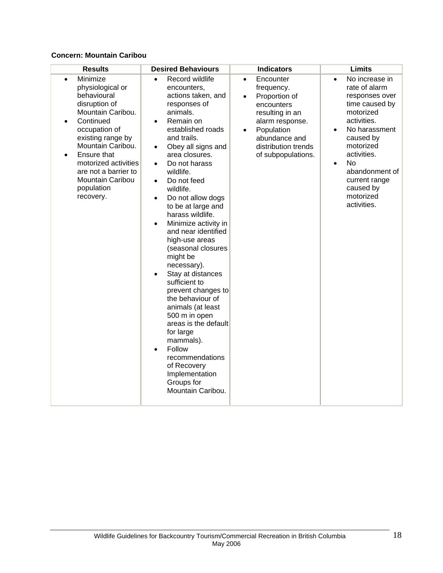## **Concern: Mountain Caribou**

| <b>Results</b>                                                                                                                                                                                                                                                                                           | <b>Desired Behaviours</b>                                                                                                                                                                                                                                                                                                                                                                                                                                                                                                                                                                                                                                                                                                                                      | <b>Indicators</b>                                                                                                                                                                                               | <b>Limits</b>                                                                                                                                                                                                                                                                             |
|----------------------------------------------------------------------------------------------------------------------------------------------------------------------------------------------------------------------------------------------------------------------------------------------------------|----------------------------------------------------------------------------------------------------------------------------------------------------------------------------------------------------------------------------------------------------------------------------------------------------------------------------------------------------------------------------------------------------------------------------------------------------------------------------------------------------------------------------------------------------------------------------------------------------------------------------------------------------------------------------------------------------------------------------------------------------------------|-----------------------------------------------------------------------------------------------------------------------------------------------------------------------------------------------------------------|-------------------------------------------------------------------------------------------------------------------------------------------------------------------------------------------------------------------------------------------------------------------------------------------|
| Minimize<br>$\bullet$<br>physiological or<br>behavioural<br>disruption of<br>Mountain Caribou.<br>Continued<br>$\bullet$<br>occupation of<br>existing range by<br>Mountain Caribou.<br>Ensure that<br>motorized activities<br>are not a barrier to<br><b>Mountain Caribou</b><br>population<br>recovery. | Record wildlife<br>encounters,<br>actions taken, and<br>responses of<br>animals.<br>Remain on<br>$\bullet$<br>established roads<br>and trails.<br>Obey all signs and<br>$\bullet$<br>area closures.<br>Do not harass<br>$\bullet$<br>wildlife.<br>Do not feed<br>$\bullet$<br>wildlife.<br>Do not allow dogs<br>$\bullet$<br>to be at large and<br>harass wildlife.<br>Minimize activity in<br>and near identified<br>high-use areas<br>(seasonal closures<br>might be<br>necessary).<br>Stay at distances<br>sufficient to<br>prevent changes to<br>the behaviour of<br>animals (at least<br>500 m in open<br>areas is the default<br>for large<br>mammals).<br>Follow<br>recommendations<br>of Recovery<br>Implementation<br>Groups for<br>Mountain Caribou. | Encounter<br>$\bullet$<br>frequency.<br>Proportion of<br>$\bullet$<br>encounters<br>resulting in an<br>alarm response.<br>Population<br>$\bullet$<br>abundance and<br>distribution trends<br>of subpopulations. | No increase in<br>$\bullet$<br>rate of alarm<br>responses over<br>time caused by<br>motorized<br>activities.<br>No harassment<br>$\bullet$<br>caused by<br>motorized<br>activities.<br><b>No</b><br>$\bullet$<br>abandonment of<br>current range<br>caused by<br>motorized<br>activities. |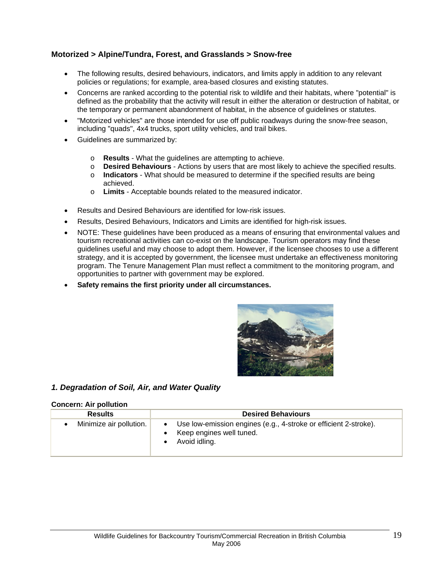## **Motorized > Alpine/Tundra, Forest, and Grasslands > Snow-free**

- The following results, desired behaviours, indicators, and limits apply in addition to any relevant policies or regulations; for example, area-based closures and existing statutes.
- Concerns are ranked according to the potential risk to wildlife and their habitats, where "potential" is defined as the probability that the activity will result in either the alteration or destruction of habitat, or the temporary or permanent abandonment of habitat, in the absence of guidelines or statutes.
- "Motorized vehicles" are those intended for use off public roadways during the snow-free season, including "quads", 4x4 trucks, sport utility vehicles, and trail bikes.
- Guidelines are summarized by:
	- o **Results** What the guidelines are attempting to achieve.
	- o **Desired Behaviours** Actions by users that are most likely to achieve the specified results.
	- o **Indicators**  What should be measured to determine if the specified results are being achieved.
	- o **Limits** Acceptable bounds related to the measured indicator.
- Results and Desired Behaviours are identified for low-risk issues.
- Results, Desired Behaviours, Indicators and Limits are identified for high-risk issues.
- NOTE: These guidelines have been produced as a means of ensuring that environmental values and tourism recreational activities can co-exist on the landscape. Tourism operators may find these guidelines useful and may choose to adopt them. However, if the licensee chooses to use a different strategy, and it is accepted by government, the licensee must undertake an effectiveness monitoring program. The Tenure Management Plan must reflect a commitment to the monitoring program, and opportunities to partner with government may be explored.
- **Safety remains the first priority under all circumstances.**



#### *1. Degradation of Soil, Air, and Water Quality*

#### **Concern: Air pollution**

| <b>Results</b>          | <b>Desired Behaviours</b>                                                                                     |
|-------------------------|---------------------------------------------------------------------------------------------------------------|
| Minimize air pollution. | Use low-emission engines (e.g., 4-stroke or efficient 2-stroke).<br>Keep engines well tuned.<br>Avoid idling. |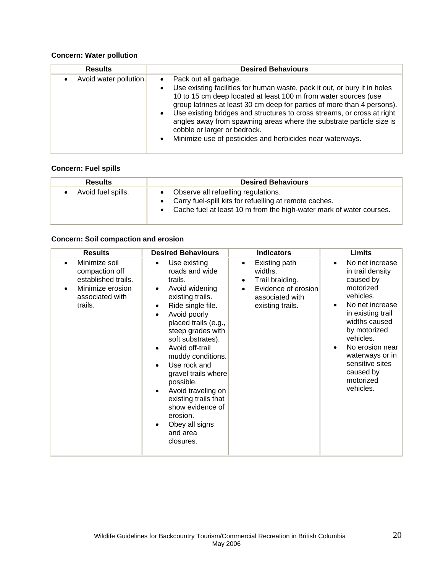## **Concern: Water pollution**

| <b>Results</b>         | <b>Desired Behaviours</b>                                                                                                                                                                                                                                                                                                                                                                                                                                                                                                                            |
|------------------------|------------------------------------------------------------------------------------------------------------------------------------------------------------------------------------------------------------------------------------------------------------------------------------------------------------------------------------------------------------------------------------------------------------------------------------------------------------------------------------------------------------------------------------------------------|
| Avoid water pollution. | Pack out all garbage.<br>$\bullet$<br>Use existing facilities for human waste, pack it out, or bury it in holes<br>$\bullet$<br>10 to 15 cm deep located at least 100 m from water sources (use<br>group latrines at least 30 cm deep for parties of more than 4 persons).<br>Use existing bridges and structures to cross streams, or cross at right<br>$\bullet$<br>angles away from spawning areas where the substrate particle size is<br>cobble or larger or bedrock.<br>Minimize use of pesticides and herbicides near waterways.<br>$\bullet$ |

## **Concern: Fuel spills**

| <b>Results</b>     | <b>Desired Behaviours</b>                                                                                                                                                             |
|--------------------|---------------------------------------------------------------------------------------------------------------------------------------------------------------------------------------|
| Avoid fuel spills. | Observe all refuelling regulations.<br>$\bullet$<br>• Carry fuel-spill kits for refuelling at remote caches.<br>• Cache fuel at least 10 m from the high-water mark of water courses. |

## **Concern: Soil compaction and erosion**

| <b>Results</b>                                                                                                        | <b>Desired Behaviours</b>                                                                                                                                                                                                                                                                                                                                                                                                                                                                                           | <b>Indicators</b>                                                                                                                                | Limits                                                                                                                                                                                                                                                                                                  |
|-----------------------------------------------------------------------------------------------------------------------|---------------------------------------------------------------------------------------------------------------------------------------------------------------------------------------------------------------------------------------------------------------------------------------------------------------------------------------------------------------------------------------------------------------------------------------------------------------------------------------------------------------------|--------------------------------------------------------------------------------------------------------------------------------------------------|---------------------------------------------------------------------------------------------------------------------------------------------------------------------------------------------------------------------------------------------------------------------------------------------------------|
| Minimize soil<br>$\bullet$<br>compaction off<br>established trails.<br>Minimize erosion<br>associated with<br>trails. | Use existing<br>$\bullet$<br>roads and wide<br>trails.<br>Avoid widening<br>$\bullet$<br>existing trails.<br>Ride single file.<br>$\bullet$<br>Avoid poorly<br>$\bullet$<br>placed trails (e.g.,<br>steep grades with<br>soft substrates).<br>Avoid off-trail<br>$\bullet$<br>muddy conditions.<br>Use rock and<br>$\bullet$<br>gravel trails where<br>possible.<br>Avoid traveling on<br>$\bullet$<br>existing trails that<br>show evidence of<br>erosion.<br>Obey all signs<br>$\bullet$<br>and area<br>closures. | Existing path<br>$\bullet$<br>widths.<br>Trail braiding.<br>$\bullet$<br>Evidence of erosion<br>$\bullet$<br>associated with<br>existing trails. | No net increase<br>$\bullet$<br>in trail density<br>caused by<br>motorized<br>vehicles.<br>No net increase<br>$\bullet$<br>in existing trail<br>widths caused<br>by motorized<br>vehicles.<br>No erosion near<br>$\bullet$<br>waterways or in<br>sensitive sites<br>caused by<br>motorized<br>vehicles. |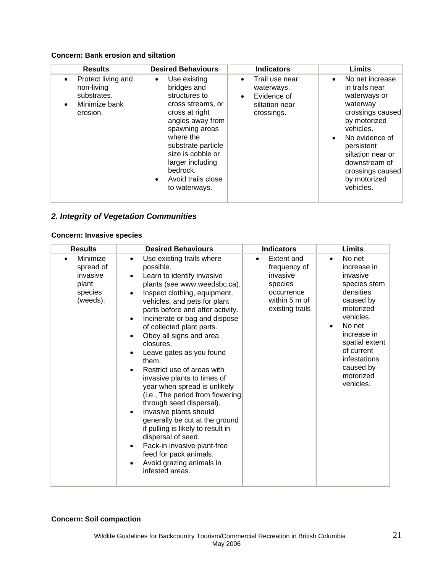## **Concern: Bank erosion and siltation**

| <b>Results</b>                                                                                 | <b>Desired Behaviours</b>                                                                                                                                                                                                                                                          | <b>Indicators</b>                                                                                     | <b>Limits</b>                                                                                                                                                                                                                                      |
|------------------------------------------------------------------------------------------------|------------------------------------------------------------------------------------------------------------------------------------------------------------------------------------------------------------------------------------------------------------------------------------|-------------------------------------------------------------------------------------------------------|----------------------------------------------------------------------------------------------------------------------------------------------------------------------------------------------------------------------------------------------------|
| Protect living and<br>$\bullet$<br>non-living<br>substrates.<br>Minimize bank<br>٠<br>erosion. | Use existing<br>$\bullet$<br>bridges and<br>structures to<br>cross streams, or<br>cross at right<br>angles away from<br>spawning areas<br>where the<br>substrate particle<br>size is cobble or<br>larger including<br>bedrock.<br>Avoid trails close<br>$\bullet$<br>to waterways. | Trail use near<br>$\bullet$<br>waterways.<br>Evidence of<br>$\bullet$<br>siltation near<br>crossings. | No net increase<br>$\bullet$<br>in trails near<br>waterways or<br>waterway<br>crossings caused<br>by motorized<br>vehicles.<br>No evidence of<br>persistent<br>siltation near or<br>downstream of<br>crossings caused<br>by motorized<br>vehicles. |

# *2. Integrity of Vegetation Communities*

## **Concern: Invasive species**

| <b>Results</b>                                                                 | <b>Desired Behaviours</b>                                                                                                                                                                                                                                                                                                                                                                                                                                                                                                                                                                                                                                                                                                                                                 | <b>Indicators</b>                                                                                                | Limits                                                                                                                                                                                                                                          |
|--------------------------------------------------------------------------------|---------------------------------------------------------------------------------------------------------------------------------------------------------------------------------------------------------------------------------------------------------------------------------------------------------------------------------------------------------------------------------------------------------------------------------------------------------------------------------------------------------------------------------------------------------------------------------------------------------------------------------------------------------------------------------------------------------------------------------------------------------------------------|------------------------------------------------------------------------------------------------------------------|-------------------------------------------------------------------------------------------------------------------------------------------------------------------------------------------------------------------------------------------------|
| Minimize<br>$\bullet$<br>spread of<br>invasive<br>plant<br>species<br>(weeds). | Use existing trails where<br>$\bullet$<br>possible.<br>Learn to identify invasive<br>plants (see www.weedsbc.ca).<br>Inspect clothing, equipment,<br>vehicles, and pets for plant<br>parts before and after activity.<br>Incinerate or bag and dispose<br>of collected plant parts.<br>Obey all signs and area<br>closures.<br>Leave gates as you found<br>them.<br>Restrict use of areas with<br>invasive plants to times of<br>year when spread is unlikely<br>(i.e., The period from flowering<br>through seed dispersal).<br>Invasive plants should<br>generally be cut at the ground<br>if pulling is likely to result in<br>dispersal of seed.<br>Pack-in invasive plant-free<br>$\bullet$<br>feed for pack animals.<br>Avoid grazing animals in<br>infested areas. | Extent and<br>$\bullet$<br>frequency of<br>invasive<br>species<br>occurrence<br>within 5 m of<br>existing trails | No net<br>$\bullet$<br>increase in<br>invasive<br>species stem<br>densities<br>caused by<br>motorized<br>vehicles.<br>No net<br>$\bullet$<br>increase in<br>spatial extent<br>of current<br>infestations<br>caused by<br>motorized<br>vehicles. |

# **Concern: Soil compaction**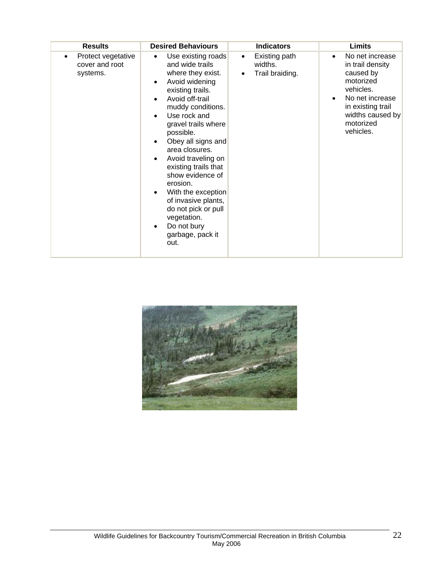| <b>Results</b>                                   | <b>Desired Behaviours</b>                                                                                                                                                                                                                                                                                                                                                                                                                                                  | <b>Indicators</b>                                | <b>Limits</b>                                                                                                                                                    |
|--------------------------------------------------|----------------------------------------------------------------------------------------------------------------------------------------------------------------------------------------------------------------------------------------------------------------------------------------------------------------------------------------------------------------------------------------------------------------------------------------------------------------------------|--------------------------------------------------|------------------------------------------------------------------------------------------------------------------------------------------------------------------|
| Protect vegetative<br>cover and root<br>systems. | Use existing roads<br>$\bullet$<br>and wide trails<br>where they exist.<br>Avoid widening<br>existing trails.<br>Avoid off-trail<br>muddy conditions.<br>Use rock and<br>gravel trails where<br>possible.<br>Obey all signs and<br>area closures.<br>Avoid traveling on<br>existing trails that<br>show evidence of<br>erosion.<br>With the exception<br>of invasive plants,<br>do not pick or pull<br>vegetation.<br>Do not bury<br>$\bullet$<br>garbage, pack it<br>out. | Existing path<br>٠<br>widths.<br>Trail braiding. | No net increase<br>in trail density<br>caused by<br>motorized<br>vehicles.<br>No net increase<br>in existing trail<br>widths caused by<br>motorized<br>vehicles. |

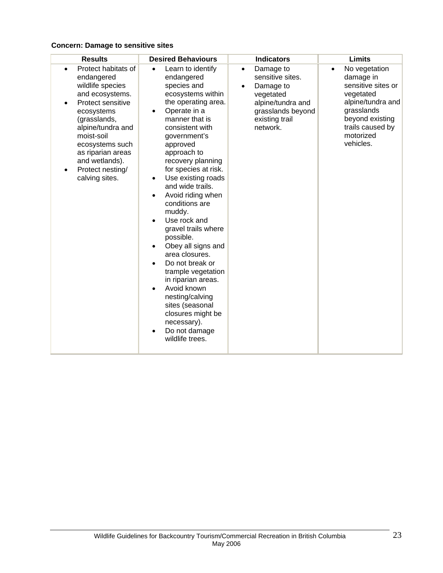# **Concern: Damage to sensitive sites**

| <b>Results</b>                                                                                                                                                                                                                                                              | <b>Desired Behaviours</b>                                                                                                                                                                                                                                                                                                                                                                                                                                                                                                                                                                                                                            | <b>Indicators</b>                                                                                                                            | <b>Limits</b>                                                                                                                                                                  |
|-----------------------------------------------------------------------------------------------------------------------------------------------------------------------------------------------------------------------------------------------------------------------------|------------------------------------------------------------------------------------------------------------------------------------------------------------------------------------------------------------------------------------------------------------------------------------------------------------------------------------------------------------------------------------------------------------------------------------------------------------------------------------------------------------------------------------------------------------------------------------------------------------------------------------------------------|----------------------------------------------------------------------------------------------------------------------------------------------|--------------------------------------------------------------------------------------------------------------------------------------------------------------------------------|
| Protect habitats of<br>endangered<br>wildlife species<br>and ecosystems.<br>Protect sensitive<br>ecosystems<br>(grasslands,<br>alpine/tundra and<br>moist-soil<br>ecosystems such<br>as riparian areas<br>and wetlands).<br>Protect nesting/<br>$\bullet$<br>calving sites. | Learn to identify<br>endangered<br>species and<br>ecosystems within<br>the operating area.<br>Operate in a<br>$\bullet$<br>manner that is<br>consistent with<br>government's<br>approved<br>approach to<br>recovery planning<br>for species at risk.<br>Use existing roads<br>and wide trails.<br>Avoid riding when<br>conditions are<br>muddy.<br>Use rock and<br>gravel trails where<br>possible.<br>Obey all signs and<br>area closures.<br>Do not break or<br>trample vegetation<br>in riparian areas.<br>Avoid known<br>$\bullet$<br>nesting/calving<br>sites (seasonal<br>closures might be<br>necessary).<br>Do not damage<br>wildlife trees. | Damage to<br>$\bullet$<br>sensitive sites.<br>Damage to<br>vegetated<br>alpine/tundra and<br>grasslands beyond<br>existing trail<br>network. | No vegetation<br>$\bullet$<br>damage in<br>sensitive sites or<br>vegetated<br>alpine/tundra and<br>grasslands<br>beyond existing<br>trails caused by<br>motorized<br>vehicles. |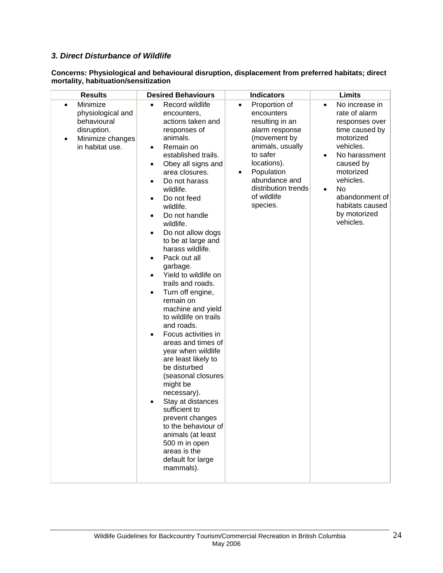# *3. Direct Disturbance of Wildlife*

| Concerns: Physiological and behavioural disruption, displacement from preferred habitats; direct |  |
|--------------------------------------------------------------------------------------------------|--|
| mortality, habituation/sensitization                                                             |  |

| <b>Results</b>                                                                                                       | <b>Desired Behaviours</b>                                                                                                                                                                                                                                                                                                                                                                                                                                                                                                                                                                                                                                                                                                                                                                                                                             | <b>Indicators</b>                                                                                                                                                                                                                  | <b>Limits</b>                                                                                                                                                                                                                                                        |
|----------------------------------------------------------------------------------------------------------------------|-------------------------------------------------------------------------------------------------------------------------------------------------------------------------------------------------------------------------------------------------------------------------------------------------------------------------------------------------------------------------------------------------------------------------------------------------------------------------------------------------------------------------------------------------------------------------------------------------------------------------------------------------------------------------------------------------------------------------------------------------------------------------------------------------------------------------------------------------------|------------------------------------------------------------------------------------------------------------------------------------------------------------------------------------------------------------------------------------|----------------------------------------------------------------------------------------------------------------------------------------------------------------------------------------------------------------------------------------------------------------------|
| Minimize<br>$\bullet$<br>physiological and<br>behavioural<br>disruption.<br>Minimize changes<br>٠<br>in habitat use. | Record wildlife<br>encounters,<br>actions taken and<br>responses of<br>animals.<br>Remain on<br>established trails.<br>Obey all signs and<br>area closures.<br>Do not harass<br>wildlife.<br>Do not feed<br>wildlife.<br>Do not handle<br>wildlife.<br>Do not allow dogs<br>$\bullet$<br>to be at large and<br>harass wildlife.<br>Pack out all<br>garbage.<br>Yield to wildlife on<br>$\bullet$<br>trails and roads.<br>Turn off engine,<br>remain on<br>machine and yield<br>to wildlife on trails<br>and roads.<br>Focus activities in<br>areas and times of<br>year when wildlife<br>are least likely to<br>be disturbed<br>(seasonal closures<br>might be<br>necessary).<br>Stay at distances<br>sufficient to<br>prevent changes<br>to the behaviour of<br>animals (at least<br>500 m in open<br>areas is the<br>default for large<br>mammals). | Proportion of<br>$\bullet$<br>encounters<br>resulting in an<br>alarm response<br>(movement by<br>animals, usually<br>to safer<br>locations).<br>Population<br>٠<br>abundance and<br>distribution trends<br>of wildlife<br>species. | No increase in<br>$\bullet$<br>rate of alarm<br>responses over<br>time caused by<br>motorized<br>vehicles.<br>No harassment<br>$\bullet$<br>caused by<br>motorized<br>vehicles.<br>No<br>$\bullet$<br>abandonment of<br>habitats caused<br>by motorized<br>vehicles. |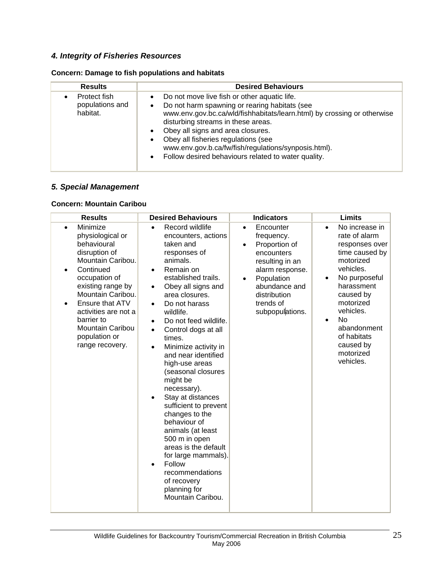# *4. Integrity of Fisheries Resources*

## **Concern: Damage to fish populations and habitats**

| <b>Results</b>                              | <b>Desired Behaviours</b>                                                                                                                                                                                                                                                                                                                                                                                                                                                  |
|---------------------------------------------|----------------------------------------------------------------------------------------------------------------------------------------------------------------------------------------------------------------------------------------------------------------------------------------------------------------------------------------------------------------------------------------------------------------------------------------------------------------------------|
| Protect fish<br>populations and<br>habitat. | Do not move live fish or other aquatic life.<br>$\bullet$<br>Do not harm spawning or rearing habitats (see<br>$\bullet$<br>www.env.gov.bc.ca/wld/fishhabitats/learn.html) by crossing or otherwise<br>disturbing streams in these areas.<br>Obey all signs and area closures.<br>$\bullet$<br>Obey all fisheries regulations (see<br>$\bullet$<br>www.env.gov.b.ca/fw/fish/regulations/synposis.html).<br>Follow desired behaviours related to water quality.<br>$\bullet$ |

## *5. Special Management*

## **Concern: Mountain Caribou**

| <b>Results</b>                                                                                                                                                                                                                                                                                                   | <b>Desired Behaviours</b>                                                                                                                                                                                                                                                                                                                                                                                                                                                                                                                                                                                                                                                                                      | <b>Indicators</b>                                                                                                                                                                                     | Limits                                                                                                                                                                                                                                                                                |
|------------------------------------------------------------------------------------------------------------------------------------------------------------------------------------------------------------------------------------------------------------------------------------------------------------------|----------------------------------------------------------------------------------------------------------------------------------------------------------------------------------------------------------------------------------------------------------------------------------------------------------------------------------------------------------------------------------------------------------------------------------------------------------------------------------------------------------------------------------------------------------------------------------------------------------------------------------------------------------------------------------------------------------------|-------------------------------------------------------------------------------------------------------------------------------------------------------------------------------------------------------|---------------------------------------------------------------------------------------------------------------------------------------------------------------------------------------------------------------------------------------------------------------------------------------|
| Minimize<br>$\bullet$<br>physiological or<br>behavioural<br>disruption of<br>Mountain Caribou.<br>Continued<br>٠<br>occupation of<br>existing range by<br>Mountain Caribou.<br>Ensure that ATV<br>$\bullet$<br>activities are not a<br>barrier to<br><b>Mountain Caribou</b><br>population or<br>range recovery. | Record wildlife<br>$\bullet$<br>encounters, actions<br>taken and<br>responses of<br>animals.<br>Remain on<br>$\bullet$<br>established trails.<br>Obey all signs and<br>$\bullet$<br>area closures.<br>Do not harass<br>$\bullet$<br>wildlife.<br>Do not feed wildlife.<br>٠<br>Control dogs at all<br>$\bullet$<br>times.<br>Minimize activity in<br>$\bullet$<br>and near identified<br>high-use areas<br>(seasonal closures<br>might be<br>necessary).<br>Stay at distances<br>sufficient to prevent<br>changes to the<br>behaviour of<br>animals (at least<br>500 m in open<br>areas is the default<br>for large mammals).<br>Follow<br>recommendations<br>of recovery<br>planning for<br>Mountain Caribou. | Encounter<br>$\bullet$<br>frequency.<br>Proportion of<br>encounters<br>resulting in an<br>alarm response.<br>Population<br>$\bullet$<br>abundance and<br>distribution<br>trends of<br>subpopulations. | No increase in<br>$\bullet$<br>rate of alarm<br>responses over<br>time caused by<br>motorized<br>vehicles.<br>No purposeful<br>$\bullet$<br>harassment<br>caused by<br>motorized<br>vehicles.<br>No<br>$\bullet$<br>abandonment<br>of habitats<br>caused by<br>motorized<br>vehicles. |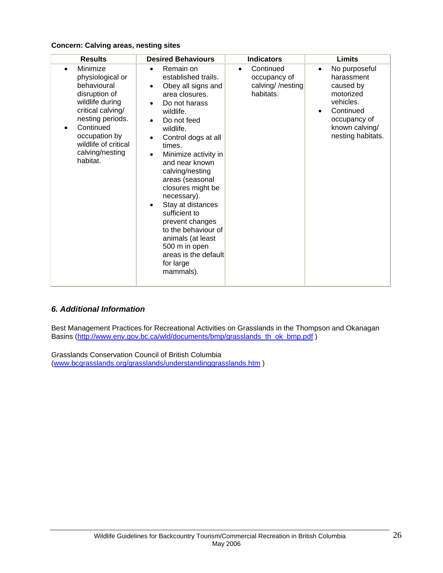#### **Concern: Calving areas, nesting sites**

| <b>Results</b>                                                                                                                                                                                                                          | <b>Desired Behaviours</b>                                                                                                                                                                                                                                                                                                                                                                                                                                                         | <b>Indicators</b>                                                       | <b>Limits</b>                                                                                                                                       |
|-----------------------------------------------------------------------------------------------------------------------------------------------------------------------------------------------------------------------------------------|-----------------------------------------------------------------------------------------------------------------------------------------------------------------------------------------------------------------------------------------------------------------------------------------------------------------------------------------------------------------------------------------------------------------------------------------------------------------------------------|-------------------------------------------------------------------------|-----------------------------------------------------------------------------------------------------------------------------------------------------|
| Minimize<br>$\bullet$<br>physiological or<br>behavioural<br>disruption of<br>wildlife during<br>critical calving/<br>nesting periods.<br>Continued<br>$\bullet$<br>occupation by<br>wildlife of critical<br>calving/nesting<br>habitat. | Remain on<br>established trails.<br>Obey all signs and<br>٠<br>area closures.<br>Do not harass<br>wildlife.<br>Do not feed<br>wildlife.<br>Control dogs at all<br>times.<br>Minimize activity in<br>$\bullet$<br>and near known<br>calving/nesting<br>areas (seasonal<br>closures might be<br>necessary).<br>Stay at distances<br>sufficient to<br>prevent changes<br>to the behaviour of<br>animals (at least<br>500 m in open<br>areas is the default<br>for large<br>mammals). | Continued<br>$\bullet$<br>occupancy of<br>calving//nesting<br>habitats. | No purposeful<br>$\bullet$<br>harassment<br>caused by<br>motorized<br>vehicles.<br>Continued<br>occupancy of<br>known calving/<br>nesting habitats. |

# *6. Additional Information*

Best Management Practices for Recreational Activities on Grasslands in the Thompson and Okanagan Basins (http://www.env.gov.bc.ca/wld/documents/bmp/grasslands\_th\_ok\_bmp.pdf )

Grasslands Conservation Council of British Columbia (www.bcgrasslands.org/grasslands/understandinggrasslands.htm )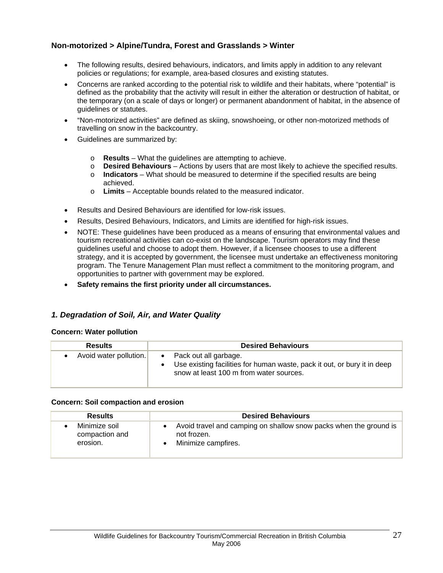## **Non-motorized > Alpine/Tundra, Forest and Grasslands > Winter**

- The following results, desired behaviours, indicators, and limits apply in addition to any relevant policies or regulations; for example, area-based closures and existing statutes.
- Concerns are ranked according to the potential risk to wildlife and their habitats, where "potential" is defined as the probability that the activity will result in either the alteration or destruction of habitat, or the temporary (on a scale of days or longer) or permanent abandonment of habitat, in the absence of guidelines or statutes.
- "Non-motorized activities" are defined as skiing, snowshoeing, or other non-motorized methods of travelling on snow in the backcountry.
- Guidelines are summarized by:
	- o **Results** What the guidelines are attempting to achieve.
	- o **Desired Behaviours** Actions by users that are most likely to achieve the specified results.
	- o **Indicators**  What should be measured to determine if the specified results are being achieved.
	- o **Limits** Acceptable bounds related to the measured indicator.
- Results and Desired Behaviours are identified for low-risk issues.
- Results, Desired Behaviours, Indicators, and Limits are identified for high-risk issues.
- NOTE: These guidelines have been produced as a means of ensuring that environmental values and tourism recreational activities can co-exist on the landscape. Tourism operators may find these guidelines useful and choose to adopt them. However, if a licensee chooses to use a different strategy, and it is accepted by government, the licensee must undertake an effectiveness monitoring program. The Tenure Management Plan must reflect a commitment to the monitoring program, and opportunities to partner with government may be explored.
- **Safety remains the first priority under all circumstances.**

#### *1. Degradation of Soil, Air, and Water Quality*

#### **Concern: Water pollution**

| <b>Results</b>         | <b>Desired Behaviours</b>                                                                                                                                 |
|------------------------|-----------------------------------------------------------------------------------------------------------------------------------------------------------|
| Avoid water pollution. | Pack out all garbage.<br>$\bullet$<br>Use existing facilities for human waste, pack it out, or bury it in deep<br>snow at least 100 m from water sources. |

#### **Concern: Soil compaction and erosion**

| <b>Results</b> | <b>Desired Behaviours</b>                                         |
|----------------|-------------------------------------------------------------------|
| Minimize soil  | Avoid travel and camping on shallow snow packs when the ground is |
| compaction and | not frozen.                                                       |
| erosion.       | Minimize campfires.                                               |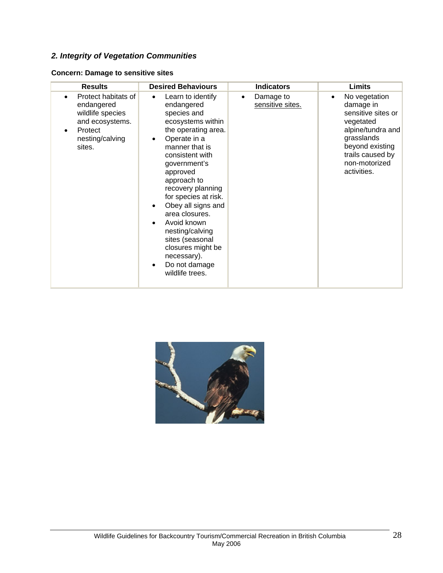# *2. Integrity of Vegetation Communities*

| <b>Results</b>                                                                                                   | <b>Desired Behaviours</b>                                                                                                                                                                                                                                                                                                                                                                                                                                        | <b>Indicators</b>                          | Limits                                                                                                                                                                               |
|------------------------------------------------------------------------------------------------------------------|------------------------------------------------------------------------------------------------------------------------------------------------------------------------------------------------------------------------------------------------------------------------------------------------------------------------------------------------------------------------------------------------------------------------------------------------------------------|--------------------------------------------|--------------------------------------------------------------------------------------------------------------------------------------------------------------------------------------|
| Protect habitats of<br>endangered<br>wildlife species<br>and ecosystems.<br>Protect<br>nesting/calving<br>sites. | Learn to identify<br>$\bullet$<br>endangered<br>species and<br>ecosystems within<br>the operating area.<br>Operate in a<br>$\bullet$<br>manner that is<br>consistent with<br>government's<br>approved<br>approach to<br>recovery planning<br>for species at risk.<br>Obey all signs and<br>area closures.<br>Avoid known<br>$\bullet$<br>nesting/calving<br>sites (seasonal<br>closures might be<br>necessary).<br>Do not damage<br>$\bullet$<br>wildlife trees. | Damage to<br>$\bullet$<br>sensitive sites. | No vegetation<br>$\bullet$<br>damage in<br>sensitive sites or<br>vegetated<br>alpine/tundra and<br>grasslands<br>beyond existing<br>trails caused by<br>non-motorized<br>activities. |

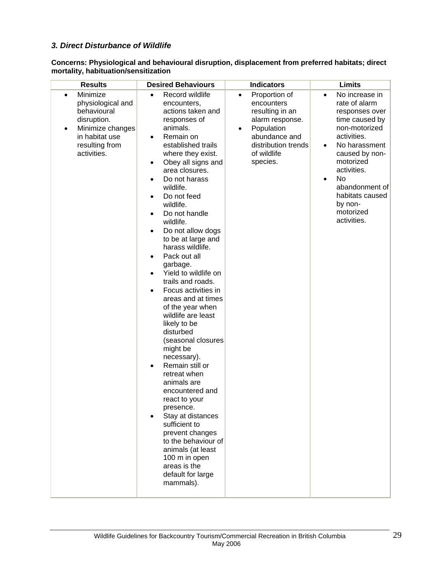## *3. Direct Disturbance of Wildlife*

**Concerns: Physiological and behavioural disruption, displacement from preferred habitats; direct mortality, habituation/sensitization** 

| <b>Results</b>                                                                                                                                               | <b>Desired Behaviours</b>                                                                                                                                                                                                                                                                                                                                                                                                                                                                                                                                                                                                                                                                                                                                                                                                                                                                                                                                      | <b>Indicators</b>                                                                                                                                                            | <b>Limits</b>                                                                                                                                                                                                                                                                       |
|--------------------------------------------------------------------------------------------------------------------------------------------------------------|----------------------------------------------------------------------------------------------------------------------------------------------------------------------------------------------------------------------------------------------------------------------------------------------------------------------------------------------------------------------------------------------------------------------------------------------------------------------------------------------------------------------------------------------------------------------------------------------------------------------------------------------------------------------------------------------------------------------------------------------------------------------------------------------------------------------------------------------------------------------------------------------------------------------------------------------------------------|------------------------------------------------------------------------------------------------------------------------------------------------------------------------------|-------------------------------------------------------------------------------------------------------------------------------------------------------------------------------------------------------------------------------------------------------------------------------------|
| Minimize<br>$\bullet$<br>physiological and<br>behavioural<br>disruption.<br>Minimize changes<br>$\bullet$<br>in habitat use<br>resulting from<br>activities. | Record wildlife<br>$\bullet$<br>encounters,<br>actions taken and<br>responses of<br>animals.<br>Remain on<br>$\bullet$<br>established trails<br>where they exist.<br>Obey all signs and<br>٠<br>area closures.<br>Do not harass<br>٠<br>wildlife.<br>Do not feed<br>٠<br>wildlife.<br>Do not handle<br>٠<br>wildlife.<br>Do not allow dogs<br>٠<br>to be at large and<br>harass wildlife.<br>Pack out all<br>$\bullet$<br>garbage.<br>Yield to wildlife on<br>$\bullet$<br>trails and roads.<br>Focus activities in<br>$\bullet$<br>areas and at times<br>of the year when<br>wildlife are least<br>likely to be<br>disturbed<br>(seasonal closures<br>might be<br>necessary).<br>Remain still or<br>٠<br>retreat when<br>animals are<br>encountered and<br>react to your<br>presence.<br>Stay at distances<br>sufficient to<br>prevent changes<br>to the behaviour of<br>animals (at least<br>100 m in open<br>areas is the<br>default for large<br>mammals). | Proportion of<br>$\bullet$<br>encounters<br>resulting in an<br>alarm response.<br>Population<br>$\bullet$<br>abundance and<br>distribution trends<br>of wildlife<br>species. | No increase in<br>$\bullet$<br>rate of alarm<br>responses over<br>time caused by<br>non-motorized<br>activities.<br>No harassment<br>٠<br>caused by non-<br>motorized<br>activities.<br>No<br>$\bullet$<br>abandonment of<br>habitats caused<br>by non-<br>motorized<br>activities. |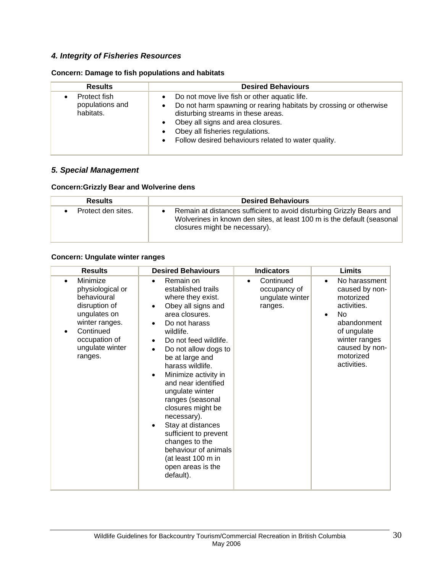# *4. Integrity of Fisheries Resources*

# **Concern: Damage to fish populations and habitats**

| <b>Results</b>                               | <b>Desired Behaviours</b>                                                                                                                                                                                                                                                                           |
|----------------------------------------------|-----------------------------------------------------------------------------------------------------------------------------------------------------------------------------------------------------------------------------------------------------------------------------------------------------|
| Protect fish<br>populations and<br>habitats. | Do not move live fish or other aquatic life.<br>Do not harm spawning or rearing habitats by crossing or otherwise<br>disturbing streams in these areas.<br>Obey all signs and area closures.<br>Obey all fisheries regulations.<br>Follow desired behaviours related to water quality.<br>$\bullet$ |

## *5. Special Management*

## **Concern:Grizzly Bear and Wolverine dens**

| <b>Results</b>     | <b>Desired Behaviours</b>                                                                                                                                                       |
|--------------------|---------------------------------------------------------------------------------------------------------------------------------------------------------------------------------|
| Protect den sites. | Remain at distances sufficient to avoid disturbing Grizzly Bears and<br>Wolverines in known den sites, at least 100 m is the default (seasonal<br>closures might be necessary). |

#### **Concern: Ungulate winter ranges**

| <b>Results</b>                                                                                                                                             | <b>Desired Behaviours</b>                                                                                                                                                                                                                                                                                                                                                                                                                                                                                                                                     | <b>Indicators</b>                                                    | <b>Limits</b>                                                                                                                                                                            |
|------------------------------------------------------------------------------------------------------------------------------------------------------------|---------------------------------------------------------------------------------------------------------------------------------------------------------------------------------------------------------------------------------------------------------------------------------------------------------------------------------------------------------------------------------------------------------------------------------------------------------------------------------------------------------------------------------------------------------------|----------------------------------------------------------------------|------------------------------------------------------------------------------------------------------------------------------------------------------------------------------------------|
| Minimize<br>physiological or<br>behavioural<br>disruption of<br>ungulates on<br>winter ranges.<br>Continued<br>occupation of<br>ungulate winter<br>ranges. | Remain on<br>$\bullet$<br>established trails<br>where they exist.<br>Obey all signs and<br>$\bullet$<br>area closures.<br>Do not harass<br>wildlife.<br>Do not feed wildlife.<br>$\bullet$<br>Do not allow dogs to<br>$\bullet$<br>be at large and<br>harass wildlife.<br>Minimize activity in<br>and near identified<br>ungulate winter<br>ranges (seasonal<br>closures might be<br>necessary).<br>Stay at distances<br>$\bullet$<br>sufficient to prevent<br>changes to the<br>behaviour of animals<br>(at least 100 m in<br>open areas is the<br>default). | Continued<br>$\bullet$<br>occupancy of<br>ungulate winter<br>ranges. | No harassment<br>$\bullet$<br>caused by non-<br>motorized<br>activities.<br>No<br>$\bullet$<br>abandonment<br>of ungulate<br>winter ranges<br>caused by non-<br>motorized<br>activities. |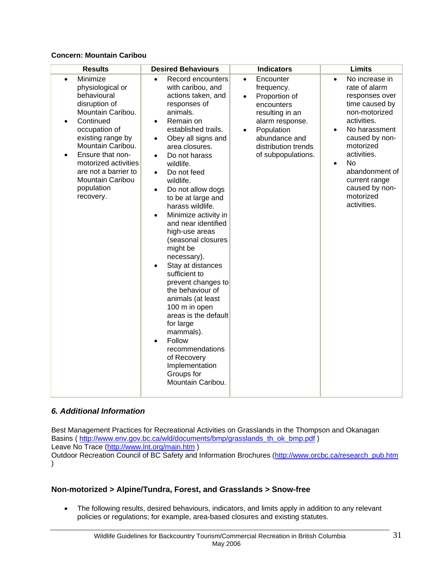## **Concern: Mountain Caribou**

| <b>Results</b>                                                                                                                                                                                                                                                                                                      | <b>Desired Behaviours</b>                                                                                                                                                                                                                                                                                                                                                                                                                                                                                                                                                                                                                                                                                                                                              | <b>Indicators</b>                                                                                                                                                                                               | <b>Limits</b>                                                                                                                                                                                                                                                                                           |
|---------------------------------------------------------------------------------------------------------------------------------------------------------------------------------------------------------------------------------------------------------------------------------------------------------------------|------------------------------------------------------------------------------------------------------------------------------------------------------------------------------------------------------------------------------------------------------------------------------------------------------------------------------------------------------------------------------------------------------------------------------------------------------------------------------------------------------------------------------------------------------------------------------------------------------------------------------------------------------------------------------------------------------------------------------------------------------------------------|-----------------------------------------------------------------------------------------------------------------------------------------------------------------------------------------------------------------|---------------------------------------------------------------------------------------------------------------------------------------------------------------------------------------------------------------------------------------------------------------------------------------------------------|
| Minimize<br>$\bullet$<br>physiological or<br>behavioural<br>disruption of<br>Mountain Caribou.<br>Continued<br>$\bullet$<br>occupation of<br>existing range by<br>Mountain Caribou.<br>Ensure that non-<br>$\bullet$<br>motorized activities<br>are not a barrier to<br>Mountain Caribou<br>population<br>recovery. | Record encounters<br>$\bullet$<br>with caribou, and<br>actions taken, and<br>responses of<br>animals.<br>Remain on<br>established trails.<br>Obey all signs and<br>$\bullet$<br>area closures.<br>Do not harass<br>$\bullet$<br>wildlife.<br>Do not feed<br>$\bullet$<br>wildlife.<br>Do not allow dogs<br>$\bullet$<br>to be at large and<br>harass wildlife.<br>Minimize activity in<br>and near identified<br>high-use areas<br>(seasonal closures<br>might be<br>necessary).<br>Stay at distances<br>sufficient to<br>prevent changes to<br>the behaviour of<br>animals (at least<br>100 m in open<br>areas is the default<br>for large<br>mammals).<br>Follow<br>$\bullet$<br>recommendations<br>of Recovery<br>Implementation<br>Groups for<br>Mountain Caribou. | Encounter<br>$\bullet$<br>frequency.<br>Proportion of<br>$\bullet$<br>encounters<br>resulting in an<br>alarm response.<br>Population<br>$\bullet$<br>abundance and<br>distribution trends<br>of subpopulations. | No increase in<br>$\bullet$<br>rate of alarm<br>responses over<br>time caused by<br>non-motorized<br>activities.<br>No harassment<br>$\bullet$<br>caused by non-<br>motorized<br>activities.<br><b>No</b><br>$\bullet$<br>abandonment of<br>current range<br>caused by non-<br>motorized<br>activities. |

## *6. Additional Information*

Best Management Practices for Recreational Activities on Grasslands in the Thompson and Okanagan Basins ( http://www.env.gov.bc.ca/wld/documents/bmp/grasslands\_th\_ok\_bmp.pdf ) Leave No Trace (http://www.lnt.org/main.htm )

Outdoor Recreation Council of BC Safety and Information Brochures (http://www.orcbc.ca/research\_pub.htm  $\lambda$ 

## **Non-motorized > Alpine/Tundra, Forest, and Grasslands > Snow-free**

• The following results, desired behaviours, indicators, and limits apply in addition to any relevant policies or regulations; for example, area-based closures and existing statutes.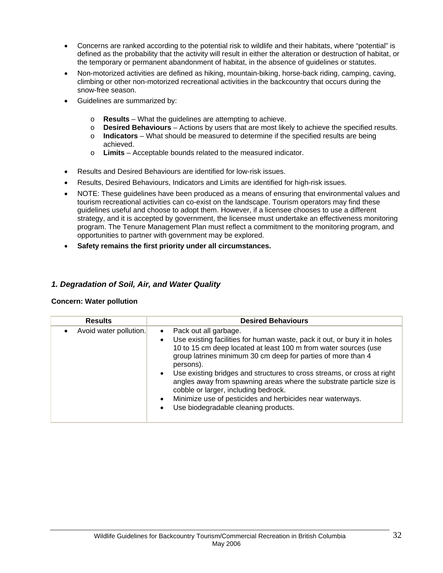- Concerns are ranked according to the potential risk to wildlife and their habitats, where "potential" is defined as the probability that the activity will result in either the alteration or destruction of habitat, or the temporary or permanent abandonment of habitat, in the absence of guidelines or statutes.
- Non-motorized activities are defined as hiking, mountain-biking, horse-back riding, camping, caving, climbing or other non-motorized recreational activities in the backcountry that occurs during the snow-free season.
- Guidelines are summarized by:
	- o **Results** What the guidelines are attempting to achieve.
	- o **Desired Behaviours** Actions by users that are most likely to achieve the specified results.
	- o **Indicators**  What should be measured to determine if the specified results are being achieved.
	- o **Limits** Acceptable bounds related to the measured indicator.
- Results and Desired Behaviours are identified for low-risk issues.
- Results, Desired Behaviours, Indicators and Limits are identified for high-risk issues.
- NOTE: These guidelines have been produced as a means of ensuring that environmental values and tourism recreational activities can co-exist on the landscape. Tourism operators may find these guidelines useful and choose to adopt them. However, if a licensee chooses to use a different strategy, and it is accepted by government, the licensee must undertake an effectiveness monitoring program. The Tenure Management Plan must reflect a commitment to the monitoring program, and opportunities to partner with government may be explored.
- **Safety remains the first priority under all circumstances.**

## *1. Degradation of Soil, Air, and Water Quality*

#### **Concern: Water pollution**

| <b>Results</b>         | <b>Desired Behaviours</b>                                                                                                                                                                                                                                                                                                                                                                                                                                                                                                                                                                                           |
|------------------------|---------------------------------------------------------------------------------------------------------------------------------------------------------------------------------------------------------------------------------------------------------------------------------------------------------------------------------------------------------------------------------------------------------------------------------------------------------------------------------------------------------------------------------------------------------------------------------------------------------------------|
| Avoid water pollution. | Pack out all garbage.<br>$\bullet$<br>Use existing facilities for human waste, pack it out, or bury it in holes<br>$\bullet$<br>10 to 15 cm deep located at least 100 m from water sources (use<br>group latrines minimum 30 cm deep for parties of more than 4<br>persons).<br>Use existing bridges and structures to cross streams, or cross at right<br>$\bullet$<br>angles away from spawning areas where the substrate particle size is<br>cobble or larger, including bedrock.<br>Minimize use of pesticides and herbicides near waterways.<br>$\bullet$<br>Use biodegradable cleaning products.<br>$\bullet$ |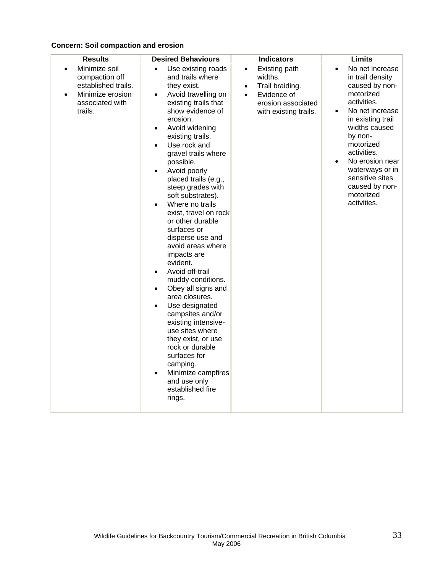## **Concern: Soil compaction and erosion**

| <b>Results</b>                                                                                                                     | <b>Desired Behaviours</b>                                                                                                                                                                                                                                                                                                                                                                                                                                                                                                                                                                                                                                                                                                                                                                                                                                                                                      | <b>Indicators</b>                                                                                                                                | <b>Limits</b>                                                                                                                                                                                                                                                                                         |
|------------------------------------------------------------------------------------------------------------------------------------|----------------------------------------------------------------------------------------------------------------------------------------------------------------------------------------------------------------------------------------------------------------------------------------------------------------------------------------------------------------------------------------------------------------------------------------------------------------------------------------------------------------------------------------------------------------------------------------------------------------------------------------------------------------------------------------------------------------------------------------------------------------------------------------------------------------------------------------------------------------------------------------------------------------|--------------------------------------------------------------------------------------------------------------------------------------------------|-------------------------------------------------------------------------------------------------------------------------------------------------------------------------------------------------------------------------------------------------------------------------------------------------------|
| Minimize soil<br>$\bullet$<br>compaction off<br>established trails.<br>Minimize erosion<br>$\bullet$<br>associated with<br>trails. | Use existing roads<br>$\bullet$<br>and trails where<br>they exist.<br>Avoid travelling on<br>$\bullet$<br>existing trails that<br>show evidence of<br>erosion.<br>Avoid widening<br>$\bullet$<br>existing trails.<br>Use rock and<br>$\bullet$<br>gravel trails where<br>possible.<br>Avoid poorly<br>$\bullet$<br>placed trails (e.g.,<br>steep grades with<br>soft substrates).<br>Where no trails<br>$\bullet$<br>exist, travel on rock<br>or other durable<br>surfaces or<br>disperse use and<br>avoid areas where<br>impacts are<br>evident.<br>Avoid off-trail<br>$\bullet$<br>muddy conditions.<br>Obey all signs and<br>$\bullet$<br>area closures.<br>Use designated<br>$\bullet$<br>campsites and/or<br>existing intensive-<br>use sites where<br>they exist, or use<br>rock or durable<br>surfaces for<br>camping.<br>Minimize campfires<br>$\bullet$<br>and use only<br>established fire<br>rings. | Existing path<br>$\bullet$<br>widths.<br>Trail braiding.<br>$\bullet$<br>Evidence of<br>$\bullet$<br>erosion associated<br>with existing trails. | No net increase<br>$\bullet$<br>in trail density<br>caused by non-<br>motorized<br>activities.<br>No net increase<br>in existing trail<br>widths caused<br>by non-<br>motorized<br>activities.<br>No erosion near<br>waterways or in<br>sensitive sites<br>caused by non-<br>motorized<br>activities. |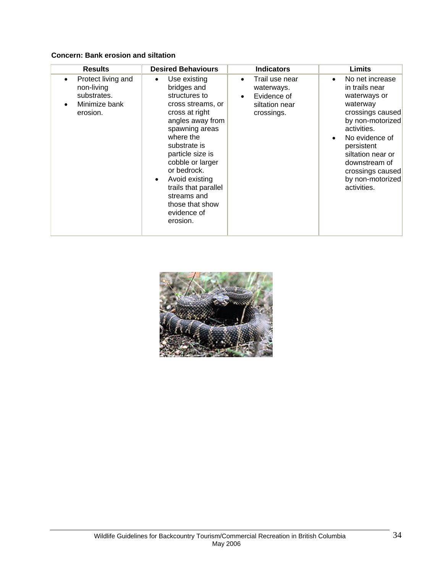## **Concern: Bank erosion and siltation**

| <b>Results</b>                                                                            | <b>Desired Behaviours</b>                                                                                                                                                                                                                                                                                                                      | <b>Indicators</b>                                                                                     | Limits                                                                                                                                                                                                                                                         |
|-------------------------------------------------------------------------------------------|------------------------------------------------------------------------------------------------------------------------------------------------------------------------------------------------------------------------------------------------------------------------------------------------------------------------------------------------|-------------------------------------------------------------------------------------------------------|----------------------------------------------------------------------------------------------------------------------------------------------------------------------------------------------------------------------------------------------------------------|
| Protect living and<br>$\bullet$<br>non-living<br>substrates.<br>Minimize bank<br>erosion. | Use existing<br>$\bullet$<br>bridges and<br>structures to<br>cross streams, or<br>cross at right<br>angles away from<br>spawning areas<br>where the<br>substrate is<br>particle size is<br>cobble or larger<br>or bedrock.<br>Avoid existing<br>$\bullet$<br>trails that parallel<br>streams and<br>those that show<br>evidence of<br>erosion. | Trail use near<br>$\bullet$<br>waterways.<br>Evidence of<br>$\bullet$<br>siltation near<br>crossings. | No net increase<br>$\bullet$<br>in trails near<br>waterways or<br>waterway<br>crossings caused<br>by non-motorized<br>activities.<br>No evidence of<br>persistent<br>siltation near or<br>downstream of<br>crossings caused<br>by non-motorized<br>activities. |

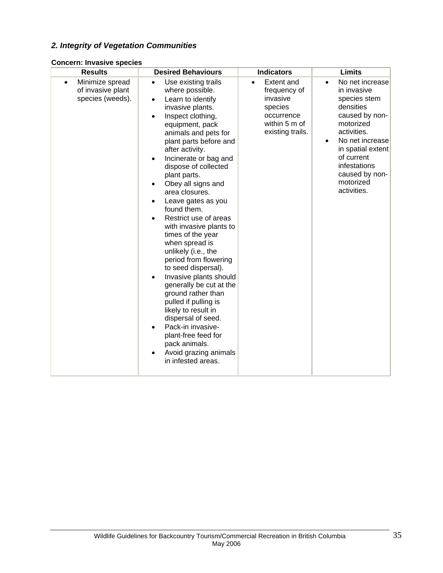# *2. Integrity of Vegetation Communities*

|  | <b>Concern: Invasive species</b> |  |  |
|--|----------------------------------|--|--|
|--|----------------------------------|--|--|

| <b>Results</b>                                                        | <b>Desired Behaviours</b>                                                                                                                                                                                                                                                                                                                                                                                                                                                                                                                                                                                                                                                                                                                                                                          | <b>Indicators</b>                                                                                           | <b>Limits</b>                                                                                                                                                                                                                 |
|-----------------------------------------------------------------------|----------------------------------------------------------------------------------------------------------------------------------------------------------------------------------------------------------------------------------------------------------------------------------------------------------------------------------------------------------------------------------------------------------------------------------------------------------------------------------------------------------------------------------------------------------------------------------------------------------------------------------------------------------------------------------------------------------------------------------------------------------------------------------------------------|-------------------------------------------------------------------------------------------------------------|-------------------------------------------------------------------------------------------------------------------------------------------------------------------------------------------------------------------------------|
| Minimize spread<br>$\bullet$<br>of invasive plant<br>species (weeds). | Use existing trails<br>$\bullet$<br>where possible.<br>Learn to identify<br>$\bullet$<br>invasive plants.<br>Inspect clothing,<br>equipment, pack<br>animals and pets for<br>plant parts before and<br>after activity.<br>Incinerate or bag and<br>dispose of collected<br>plant parts.<br>Obey all signs and<br>area closures.<br>Leave gates as you<br>found them.<br>Restrict use of areas<br>with invasive plants to<br>times of the year<br>when spread is<br>unlikely (i.e., the<br>period from flowering<br>to seed dispersal).<br>Invasive plants should<br>generally be cut at the<br>ground rather than<br>pulled if pulling is<br>likely to result in<br>dispersal of seed.<br>Pack-in invasive-<br>plant-free feed for<br>pack animals.<br>Avoid grazing animals<br>in infested areas. | <b>Extent and</b><br>frequency of<br>invasive<br>species<br>occurrence<br>within 5 m of<br>existing trails. | No net increase<br>in invasive<br>species stem<br>densities<br>caused by non-<br>motorized<br>activities.<br>No net increase<br>in spatial extent<br>of current<br>infestations<br>caused by non-<br>motorized<br>activities. |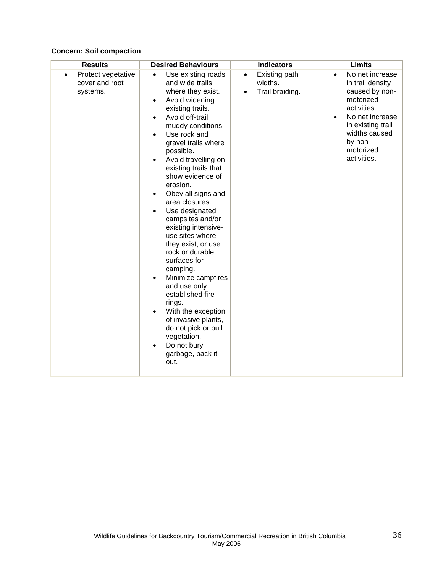## **Concern: Soil compaction**

| <b>Results</b>                                        | <b>Desired Behaviours</b>                                                                                                                                                                                                                                                                                                                                                                                                                                                                                                                                                                                                                                                                                | <b>Indicators</b>                                        | <b>Limits</b>                                                                                                                                                                                               |
|-------------------------------------------------------|----------------------------------------------------------------------------------------------------------------------------------------------------------------------------------------------------------------------------------------------------------------------------------------------------------------------------------------------------------------------------------------------------------------------------------------------------------------------------------------------------------------------------------------------------------------------------------------------------------------------------------------------------------------------------------------------------------|----------------------------------------------------------|-------------------------------------------------------------------------------------------------------------------------------------------------------------------------------------------------------------|
| Protect vegetative<br>٠<br>cover and root<br>systems. | Use existing roads<br>$\bullet$<br>and wide trails<br>where they exist.<br>Avoid widening<br>existing trails.<br>Avoid off-trail<br>muddy conditions<br>Use rock and<br>gravel trails where<br>possible.<br>Avoid travelling on<br>existing trails that<br>show evidence of<br>erosion.<br>Obey all signs and<br>٠<br>area closures.<br>Use designated<br>campsites and/or<br>existing intensive-<br>use sites where<br>they exist, or use<br>rock or durable<br>surfaces for<br>camping.<br>Minimize campfires<br>$\bullet$<br>and use only<br>established fire<br>rings.<br>With the exception<br>of invasive plants,<br>do not pick or pull<br>vegetation.<br>Do not bury<br>garbage, pack it<br>out. | Existing path<br>$\bullet$<br>widths.<br>Trail braiding. | No net increase<br>$\bullet$<br>in trail density<br>caused by non-<br>motorized<br>activities.<br>No net increase<br>$\bullet$<br>in existing trail<br>widths caused<br>by non-<br>motorized<br>activities. |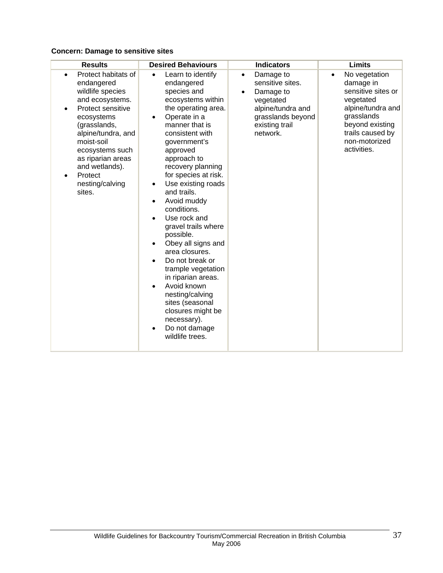## **Concern: Damage to sensitive sites**

| <b>Results</b>                                                                                                                                                                                                                                                    | <b>Desired Behaviours</b>                                                                                                                                                                                                                                                                                                                                                                                                                                                                                                                                                                                                                                                                                               | <b>Indicators</b>                                                                                                                                         | <b>Limits</b>                                                                                                                                                                |
|-------------------------------------------------------------------------------------------------------------------------------------------------------------------------------------------------------------------------------------------------------------------|-------------------------------------------------------------------------------------------------------------------------------------------------------------------------------------------------------------------------------------------------------------------------------------------------------------------------------------------------------------------------------------------------------------------------------------------------------------------------------------------------------------------------------------------------------------------------------------------------------------------------------------------------------------------------------------------------------------------------|-----------------------------------------------------------------------------------------------------------------------------------------------------------|------------------------------------------------------------------------------------------------------------------------------------------------------------------------------|
| Protect habitats of<br>endangered<br>wildlife species<br>and ecosystems.<br>Protect sensitive<br>ecosystems<br>(grasslands,<br>alpine/tundra, and<br>moist-soil<br>ecosystems such<br>as riparian areas<br>and wetlands).<br>Protect<br>nesting/calving<br>sites. | Learn to identify<br>$\bullet$<br>endangered<br>species and<br>ecosystems within<br>the operating area.<br>Operate in a<br>$\bullet$<br>manner that is<br>consistent with<br>government's<br>approved<br>approach to<br>recovery planning<br>for species at risk.<br>Use existing roads<br>$\bullet$<br>and trails.<br>Avoid muddy<br>$\bullet$<br>conditions.<br>Use rock and<br>$\bullet$<br>gravel trails where<br>possible.<br>Obey all signs and<br>$\bullet$<br>area closures.<br>Do not break or<br>$\bullet$<br>trample vegetation<br>in riparian areas.<br>Avoid known<br>$\bullet$<br>nesting/calving<br>sites (seasonal<br>closures might be<br>necessary).<br>Do not damage<br>$\bullet$<br>wildlife trees. | Damage to<br>$\bullet$<br>sensitive sites.<br>Damage to<br>$\bullet$<br>vegetated<br>alpine/tundra and<br>grasslands beyond<br>existing trail<br>network. | No vegetation<br>٠<br>damage in<br>sensitive sites or<br>vegetated<br>alpine/tundra and<br>grasslands<br>beyond existing<br>trails caused by<br>non-motorized<br>activities. |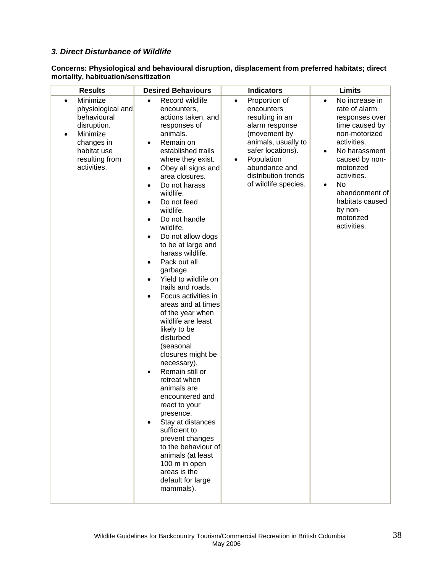## *3. Direct Disturbance of Wildlife*

| <b>Results</b>                                                                                                                                          | <b>Desired Behaviours</b>                                                                                                                                                                                                                                                                                                                                                                                                                                                                                                                                                                                                                                                                                                                                                                                                                                                                                                                                                                                       | <b>Indicators</b>                                                                                                                                                                                                                    | Limits                                                                                                                                                                                                                                                                              |
|---------------------------------------------------------------------------------------------------------------------------------------------------------|-----------------------------------------------------------------------------------------------------------------------------------------------------------------------------------------------------------------------------------------------------------------------------------------------------------------------------------------------------------------------------------------------------------------------------------------------------------------------------------------------------------------------------------------------------------------------------------------------------------------------------------------------------------------------------------------------------------------------------------------------------------------------------------------------------------------------------------------------------------------------------------------------------------------------------------------------------------------------------------------------------------------|--------------------------------------------------------------------------------------------------------------------------------------------------------------------------------------------------------------------------------------|-------------------------------------------------------------------------------------------------------------------------------------------------------------------------------------------------------------------------------------------------------------------------------------|
| Minimize<br>$\bullet$<br>physiological and<br>behavioural<br>disruption.<br>Minimize<br>٠<br>changes in<br>habitat use<br>resulting from<br>activities. | Record wildlife<br>$\bullet$<br>encounters,<br>actions taken, and<br>responses of<br>animals.<br>Remain on<br>$\bullet$<br>established trails<br>where they exist.<br>Obey all signs and<br>$\bullet$<br>area closures.<br>Do not harass<br>$\bullet$<br>wildlife.<br>Do not feed<br>$\bullet$<br>wildlife.<br>Do not handle<br>$\bullet$<br>wildlife.<br>Do not allow dogs<br>$\bullet$<br>to be at large and<br>harass wildlife.<br>Pack out all<br>$\bullet$<br>garbage.<br>Yield to wildlife on<br>$\bullet$<br>trails and roads.<br>Focus activities in<br>$\bullet$<br>areas and at times<br>of the year when<br>wildlife are least<br>likely to be<br>disturbed<br>(seasonal<br>closures might be<br>necessary).<br>Remain still or<br>$\bullet$<br>retreat when<br>animals are<br>encountered and<br>react to your<br>presence.<br>Stay at distances<br>sufficient to<br>prevent changes<br>to the behaviour of<br>animals (at least<br>100 m in open<br>areas is the<br>default for large<br>mammals). | Proportion of<br>$\bullet$<br>encounters<br>resulting in an<br>alarm response<br>(movement by<br>animals, usually to<br>safer locations).<br>Population<br>$\bullet$<br>abundance and<br>distribution trends<br>of wildlife species. | No increase in<br>$\bullet$<br>rate of alarm<br>responses over<br>time caused by<br>non-motorized<br>activities.<br>No harassment<br>٠<br>caused by non-<br>motorized<br>activities.<br>No<br>$\bullet$<br>abandonment of<br>habitats caused<br>by non-<br>motorized<br>activities. |

#### **Concerns: Physiological and behavioural disruption, displacement from preferred habitats; direct mortality, habituation/sensitization**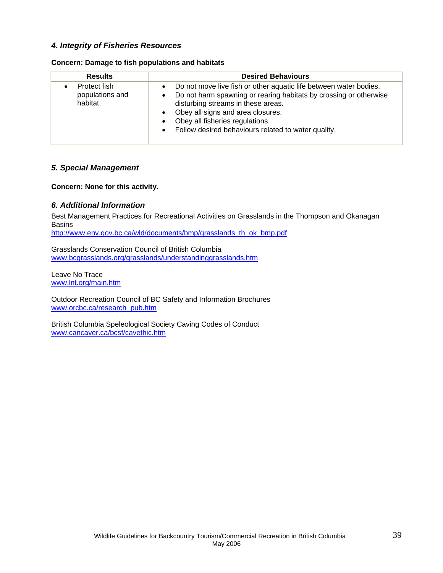## *4. Integrity of Fisheries Resources*

|  | Concern: Damage to fish populations and habitats |  |  |  |  |
|--|--------------------------------------------------|--|--|--|--|
|--|--------------------------------------------------|--|--|--|--|

| <b>Results</b>                              | <b>Desired Behaviours</b>                                                                                                                                                                                                                                                                                                                                       |
|---------------------------------------------|-----------------------------------------------------------------------------------------------------------------------------------------------------------------------------------------------------------------------------------------------------------------------------------------------------------------------------------------------------------------|
| Protect fish<br>populations and<br>habitat. | Do not move live fish or other aquatic life between water bodies.<br>Do not harm spawning or rearing habitats by crossing or otherwise<br>$\bullet$<br>disturbing streams in these areas.<br>Obey all signs and area closures.<br>$\bullet$<br>Obey all fisheries regulations.<br>$\bullet$<br>Follow desired behaviours related to water quality.<br>$\bullet$ |

## *5. Special Management*

**Concern: None for this activity.**

## *6. Additional Information*

Best Management Practices for Recreational Activities on Grasslands in the Thompson and Okanagan **Basins** 

http://www.env.gov.bc.ca/wld/documents/bmp/grasslands\_th\_ok\_bmp.pdf

Grasslands Conservation Council of British Columbia www.bcgrasslands.org/grasslands/understandinggrasslands.htm

Leave No Trace www.lnt.org/main.htm

Outdoor Recreation Council of BC Safety and Information Brochures www.orcbc.ca/research\_pub.htm

British Columbia Speleological Society Caving Codes of Conduct www.cancaver.ca/bcsf/cavethic.htm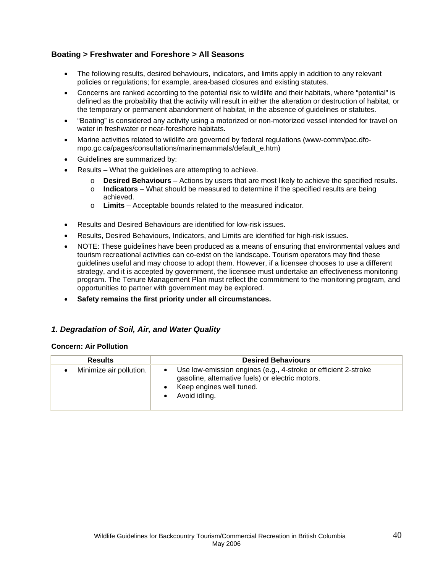## **Boating > Freshwater and Foreshore > All Seasons**

- The following results, desired behaviours, indicators, and limits apply in addition to any relevant policies or regulations; for example, area-based closures and existing statutes.
- Concerns are ranked according to the potential risk to wildlife and their habitats, where "potential" is defined as the probability that the activity will result in either the alteration or destruction of habitat, or the temporary or permanent abandonment of habitat, in the absence of guidelines or statutes.
- "Boating" is considered any activity using a motorized or non-motorized vessel intended for travel on water in freshwater or near-foreshore habitats.
- Marine activities related to wildlife are governed by federal regulations (www-comm/pac.dfompo.gc.ca/pages/consultations/marinemammals/default\_e.htm)
- Guidelines are summarized by:
- Results What the guidelines are attempting to achieve.
	- o **Desired Behaviours** Actions by users that are most likely to achieve the specified results.
	- o **Indicators**  What should be measured to determine if the specified results are being achieved.
	- o **Limits** Acceptable bounds related to the measured indicator.
- Results and Desired Behaviours are identified for low-risk issues.
- Results, Desired Behaviours, Indicators, and Limits are identified for high-risk issues.
- NOTE: These guidelines have been produced as a means of ensuring that environmental values and tourism recreational activities can co-exist on the landscape. Tourism operators may find these guidelines useful and may choose to adopt them. However, if a licensee chooses to use a different strategy, and it is accepted by government, the licensee must undertake an effectiveness monitoring program. The Tenure Management Plan must reflect the commitment to the monitoring program, and opportunities to partner with government may be explored.
- **Safety remains the first priority under all circumstances.**

## *1. Degradation of Soil, Air, and Water Quality*

#### **Concern: Air Pollution**

| <b>Results</b>          | <b>Desired Behaviours</b>                                                                                                                                       |
|-------------------------|-----------------------------------------------------------------------------------------------------------------------------------------------------------------|
| Minimize air pollution. | Use low-emission engines (e.g., 4-stroke or efficient 2-stroke<br>gasoline, alternative fuels) or electric motors.<br>Keep engines well tuned.<br>Avoid idling. |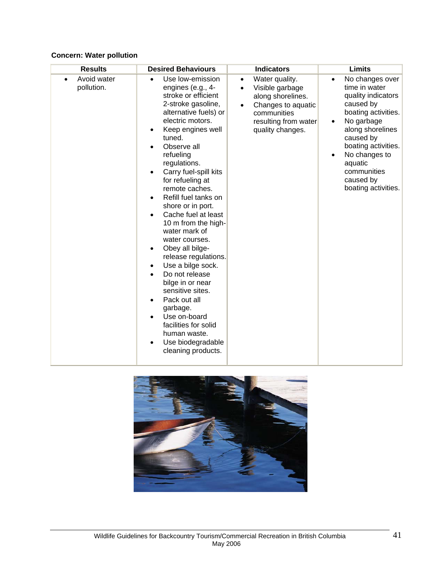# **Concern: Water pollution**

| <b>Results</b>            | <b>Desired Behaviours</b>                                                                                                                                                                                                                                                                                                                                                                                                                                                                                                                                                                                                                                                                                                                                                                                                    | <b>Indicators</b>                                                                                                                                                 | <b>Limits</b>                                                                                                                                                                                                                                                |
|---------------------------|------------------------------------------------------------------------------------------------------------------------------------------------------------------------------------------------------------------------------------------------------------------------------------------------------------------------------------------------------------------------------------------------------------------------------------------------------------------------------------------------------------------------------------------------------------------------------------------------------------------------------------------------------------------------------------------------------------------------------------------------------------------------------------------------------------------------------|-------------------------------------------------------------------------------------------------------------------------------------------------------------------|--------------------------------------------------------------------------------------------------------------------------------------------------------------------------------------------------------------------------------------------------------------|
| Avoid water<br>pollution. | Use low-emission<br>$\bullet$<br>engines (e.g., 4-<br>stroke or efficient<br>2-stroke gasoline,<br>alternative fuels) or<br>electric motors.<br>Keep engines well<br>$\bullet$<br>tuned.<br>Observe all<br>$\bullet$<br>refueling<br>regulations.<br>Carry fuel-spill kits<br>$\bullet$<br>for refueling at<br>remote caches.<br>Refill fuel tanks on<br>$\bullet$<br>shore or in port.<br>Cache fuel at least<br>$\bullet$<br>10 m from the high-<br>water mark of<br>water courses.<br>Obey all bilge-<br>$\bullet$<br>release regulations.<br>Use a bilge sock.<br>$\bullet$<br>Do not release<br>$\bullet$<br>bilge in or near<br>sensitive sites.<br>Pack out all<br>$\bullet$<br>garbage.<br>Use on-board<br>$\bullet$<br>facilities for solid<br>human waste.<br>Use biodegradable<br>$\bullet$<br>cleaning products. | Water quality.<br>$\bullet$<br>Visible garbage<br>$\bullet$<br>along shorelines.<br>Changes to aquatic<br>communities<br>resulting from water<br>quality changes. | No changes over<br>$\bullet$<br>time in water<br>quality indicators<br>caused by<br>boating activities.<br>No garbage<br>along shorelines<br>caused by<br>boating activities.<br>No changes to<br>aquatic<br>communities<br>caused by<br>boating activities. |

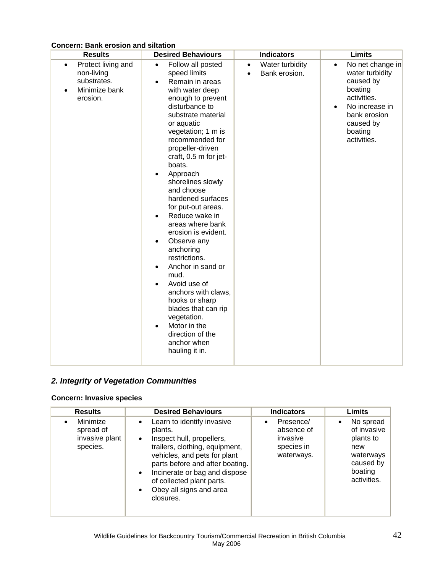| <b>Results</b>                                                                                         | <b>Desired Behaviours</b>                                                                                                                                                                                                                                                                                                                                                                                                                                                                                                                                                                                                                                                                                                                          | <b>Indicators</b>                                          | <b>Limits</b>                                                                                                                                                                 |
|--------------------------------------------------------------------------------------------------------|----------------------------------------------------------------------------------------------------------------------------------------------------------------------------------------------------------------------------------------------------------------------------------------------------------------------------------------------------------------------------------------------------------------------------------------------------------------------------------------------------------------------------------------------------------------------------------------------------------------------------------------------------------------------------------------------------------------------------------------------------|------------------------------------------------------------|-------------------------------------------------------------------------------------------------------------------------------------------------------------------------------|
| Protect living and<br>$\bullet$<br>non-living<br>substrates.<br>Minimize bank<br>$\bullet$<br>erosion. | Follow all posted<br>$\bullet$<br>speed limits<br>Remain in areas<br>$\bullet$<br>with water deep<br>enough to prevent<br>disturbance to<br>substrate material<br>or aquatic<br>vegetation; 1 m is<br>recommended for<br>propeller-driven<br>craft, 0.5 m for jet-<br>boats.<br>Approach<br>$\bullet$<br>shorelines slowly<br>and choose<br>hardened surfaces<br>for put-out areas.<br>Reduce wake in<br>$\bullet$<br>areas where bank<br>erosion is evident.<br>Observe any<br>$\bullet$<br>anchoring<br>restrictions.<br>Anchor in sand or<br>$\bullet$<br>mud.<br>Avoid use of<br>anchors with claws,<br>hooks or sharp<br>blades that can rip<br>vegetation.<br>Motor in the<br>$\bullet$<br>direction of the<br>anchor when<br>hauling it in. | Water turbidity<br>$\bullet$<br>Bank erosion.<br>$\bullet$ | No net change in<br>$\bullet$<br>water turbidity<br>caused by<br>boating<br>activities.<br>No increase in<br>$\bullet$<br>bank erosion<br>caused by<br>boating<br>activities. |

# **Concern: Bank erosion and siltation**

# *2. Integrity of Vegetation Communities*

## **Concern: Invasive species**

| <b>Results</b>                                                   | <b>Desired Behaviours</b>                                                                                                                                                                                                                                                                                                         | <b>Indicators</b>                                                            | Limits                                                                                                        |
|------------------------------------------------------------------|-----------------------------------------------------------------------------------------------------------------------------------------------------------------------------------------------------------------------------------------------------------------------------------------------------------------------------------|------------------------------------------------------------------------------|---------------------------------------------------------------------------------------------------------------|
| Minimize<br>$\bullet$<br>spread of<br>invasive plant<br>species. | Learn to identify invasive<br>$\bullet$<br>plants.<br>Inspect hull, propellers,<br>$\bullet$<br>trailers, clothing, equipment,<br>vehicles, and pets for plant<br>parts before and after boating.<br>Incinerate or bag and dispose<br>$\bullet$<br>of collected plant parts.<br>Obey all signs and area<br>$\bullet$<br>closures. | Presence/<br>$\bullet$<br>absence of<br>invasive<br>species in<br>waterways. | No spread<br>$\bullet$<br>of invasive<br>plants to<br>new<br>waterways<br>caused by<br>boating<br>activities. |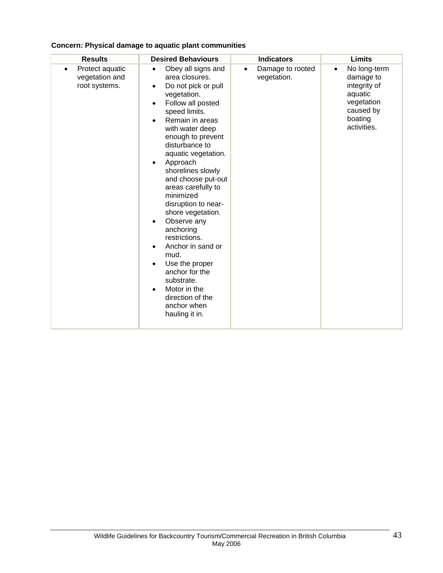| <b>Results</b>                                                  | <b>Desired Behaviours</b>                                                                                                                                                                                                                                                                                                                                                                                                                                                                                                                                                               | <b>Indicators</b>                            | <b>Limits</b>                                                                                                          |
|-----------------------------------------------------------------|-----------------------------------------------------------------------------------------------------------------------------------------------------------------------------------------------------------------------------------------------------------------------------------------------------------------------------------------------------------------------------------------------------------------------------------------------------------------------------------------------------------------------------------------------------------------------------------------|----------------------------------------------|------------------------------------------------------------------------------------------------------------------------|
| Protect aquatic<br>$\bullet$<br>vegetation and<br>root systems. | Obey all signs and<br>$\bullet$<br>area closures.<br>Do not pick or pull<br>٠<br>vegetation.<br>Follow all posted<br>speed limits.<br>Remain in areas<br>with water deep<br>enough to prevent<br>disturbance to<br>aquatic vegetation.<br>Approach<br>shorelines slowly<br>and choose put-out<br>areas carefully to<br>minimized<br>disruption to near-<br>shore vegetation.<br>Observe any<br>٠<br>anchoring<br>restrictions.<br>Anchor in sand or<br>٠<br>mud.<br>Use the proper<br>anchor for the<br>substrate.<br>Motor in the<br>direction of the<br>anchor when<br>hauling it in. | Damage to rooted<br>$\bullet$<br>vegetation. | No long-term<br>$\bullet$<br>damage to<br>integrity of<br>aquatic<br>vegetation<br>caused by<br>boating<br>activities. |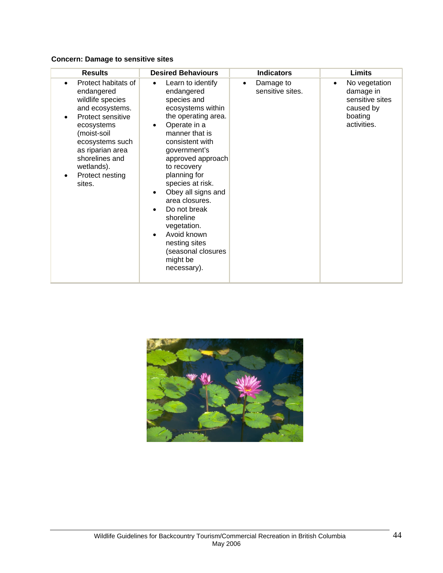## **Concern: Damage to sensitive sites**

| <b>Results</b>                                                                                                                                                                                                                 | <b>Desired Behaviours</b>                                                                                                                                                                                                                                                                                                                                                                                                 | <b>Indicators</b>                          | <b>Limits</b>                                                                                     |
|--------------------------------------------------------------------------------------------------------------------------------------------------------------------------------------------------------------------------------|---------------------------------------------------------------------------------------------------------------------------------------------------------------------------------------------------------------------------------------------------------------------------------------------------------------------------------------------------------------------------------------------------------------------------|--------------------------------------------|---------------------------------------------------------------------------------------------------|
| Protect habitats of<br>endangered<br>wildlife species<br>and ecosystems.<br>Protect sensitive<br>ecosystems<br>(moist-soil<br>ecosystems such<br>as riparian area<br>shorelines and<br>wetlands).<br>Protect nesting<br>sites. | Learn to identify<br>$\bullet$<br>endangered<br>species and<br>ecosystems within<br>the operating area.<br>Operate in a<br>manner that is<br>consistent with<br>government's<br>approved approach<br>to recovery<br>planning for<br>species at risk.<br>Obey all signs and<br>area closures.<br>Do not break<br>shoreline<br>vegetation.<br>Avoid known<br>nesting sites<br>(seasonal closures<br>might be<br>necessary). | Damage to<br>$\bullet$<br>sensitive sites. | No vegetation<br>$\bullet$<br>damage in<br>sensitive sites<br>caused by<br>boating<br>activities. |

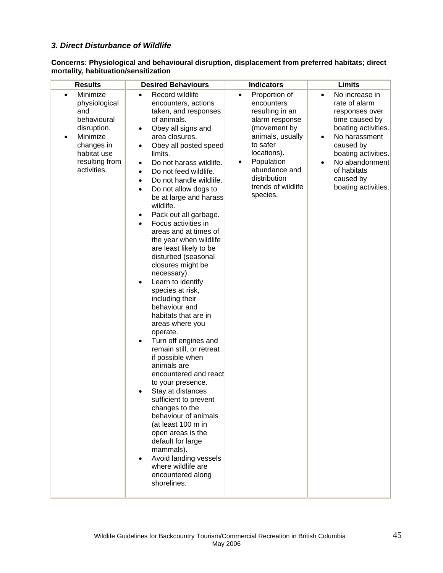## *3. Direct Disturbance of Wildlife*

**Concerns: Physiological and behavioural disruption, displacement from preferred habitats; direct mortality, habituation/sensitization** 

| <b>Results</b>                                                                                                                                                     | <b>Desired Behaviours</b>                                                                                                                                                                                                                                                                                                                                                                                                                                                                                                                                                                                                                                                                                                                                                                                                                                                                                                                                                                                                                                                                                                                                                    | <b>Indicators</b>                                                                                                                                                                                                                  | Limits                                                                                                                                                                                                                                                      |
|--------------------------------------------------------------------------------------------------------------------------------------------------------------------|------------------------------------------------------------------------------------------------------------------------------------------------------------------------------------------------------------------------------------------------------------------------------------------------------------------------------------------------------------------------------------------------------------------------------------------------------------------------------------------------------------------------------------------------------------------------------------------------------------------------------------------------------------------------------------------------------------------------------------------------------------------------------------------------------------------------------------------------------------------------------------------------------------------------------------------------------------------------------------------------------------------------------------------------------------------------------------------------------------------------------------------------------------------------------|------------------------------------------------------------------------------------------------------------------------------------------------------------------------------------------------------------------------------------|-------------------------------------------------------------------------------------------------------------------------------------------------------------------------------------------------------------------------------------------------------------|
| Minimize<br>$\bullet$<br>physiological<br>and<br>behavioural<br>disruption.<br>Minimize<br>$\bullet$<br>changes in<br>habitat use<br>resulting from<br>activities. | Record wildlife<br>$\bullet$<br>encounters, actions<br>taken, and responses<br>of animals.<br>Obey all signs and<br>$\bullet$<br>area closures.<br>Obey all posted speed<br>$\bullet$<br>limits.<br>Do not harass wildlife.<br>$\bullet$<br>Do not feed wildlife.<br>$\bullet$<br>Do not handle wildlife.<br>$\bullet$<br>Do not allow dogs to<br>$\bullet$<br>be at large and harass<br>wildlife.<br>Pack out all garbage.<br>٠<br>Focus activities in<br>$\bullet$<br>areas and at times of<br>the year when wildlife<br>are least likely to be<br>disturbed (seasonal<br>closures might be<br>necessary).<br>Learn to identify<br>٠<br>species at risk,<br>including their<br>behaviour and<br>habitats that are in<br>areas where you<br>operate.<br>Turn off engines and<br>$\bullet$<br>remain still, or retreat<br>if possible when<br>animals are<br>encountered and react<br>to your presence.<br>Stay at distances<br>sufficient to prevent<br>changes to the<br>behaviour of animals<br>(at least 100 m in<br>open areas is the<br>default for large<br>mammals).<br>Avoid landing vessels<br>$\bullet$<br>where wildlife are<br>encountered along<br>shorelines. | Proportion of<br>$\bullet$<br>encounters<br>resulting in an<br>alarm response<br>(movement by<br>animals, usually<br>to safer<br>locations).<br>Population<br>٠<br>abundance and<br>distribution<br>trends of wildlife<br>species. | No increase in<br>$\bullet$<br>rate of alarm<br>responses over<br>time caused by<br>boating activities.<br>No harassment<br>$\bullet$<br>caused by<br>boating activities.<br>No abandonment<br>$\bullet$<br>of habitats<br>caused by<br>boating activities. |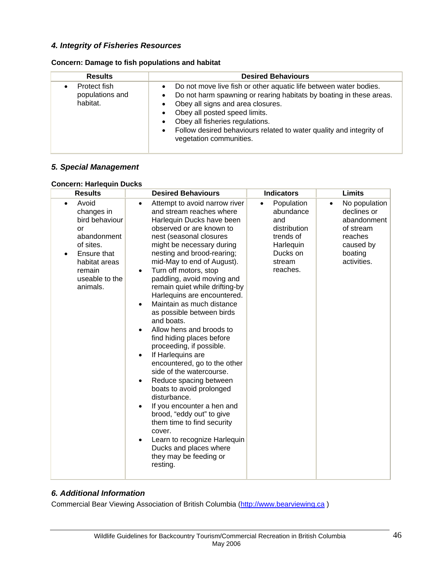# *4. Integrity of Fisheries Resources*

| <b>Results</b>                              | <b>Desired Behaviours</b>                                                                                                                                                                                                                                                                                                                                        |  |  |
|---------------------------------------------|------------------------------------------------------------------------------------------------------------------------------------------------------------------------------------------------------------------------------------------------------------------------------------------------------------------------------------------------------------------|--|--|
| Protect fish<br>populations and<br>habitat. | Do not move live fish or other aquatic life between water bodies.<br>Do not harm spawning or rearing habitats by boating in these areas.<br>Obey all signs and area closures.<br>Obey all posted speed limits.<br>Obey all fisheries regulations.<br>Follow desired behaviours related to water quality and integrity of<br>$\bullet$<br>vegetation communities. |  |  |

## *5. Special Management*

#### **Concern: Harlequin Ducks**

| <b>Results</b>                                                                                                                                                            | <b>Desired Behaviours</b>                                                                                                                                                                                                                                                                                                                                                                                                                                                                                                                                                                                                                                                                                                                                                                                                                                                                                       | <b>Indicators</b>                                                                                                       | <b>Limits</b>                                                                                              |
|---------------------------------------------------------------------------------------------------------------------------------------------------------------------------|-----------------------------------------------------------------------------------------------------------------------------------------------------------------------------------------------------------------------------------------------------------------------------------------------------------------------------------------------------------------------------------------------------------------------------------------------------------------------------------------------------------------------------------------------------------------------------------------------------------------------------------------------------------------------------------------------------------------------------------------------------------------------------------------------------------------------------------------------------------------------------------------------------------------|-------------------------------------------------------------------------------------------------------------------------|------------------------------------------------------------------------------------------------------------|
| Avoid<br>$\bullet$<br>changes in<br>bird behaviour<br>or<br>abandonment<br>of sites.<br>Ensure that<br>$\bullet$<br>habitat areas<br>remain<br>useable to the<br>animals. | Attempt to avoid narrow river<br>and stream reaches where<br>Harlequin Ducks have been<br>observed or are known to<br>nest (seasonal closures<br>might be necessary during<br>nesting and brood-rearing;<br>mid-May to end of August).<br>Turn off motors, stop<br>$\bullet$<br>paddling, avoid moving and<br>remain quiet while drifting-by<br>Harlequins are encountered.<br>Maintain as much distance<br>as possible between birds<br>and boats.<br>Allow hens and broods to<br>find hiding places before<br>proceeding, if possible.<br>If Harlequins are<br>encountered, go to the other<br>side of the watercourse.<br>Reduce spacing between<br>$\bullet$<br>boats to avoid prolonged<br>disturbance.<br>If you encounter a hen and<br>brood, "eddy out" to give<br>them time to find security<br>cover.<br>Learn to recognize Harlequin<br>Ducks and places where<br>they may be feeding or<br>resting. | Population<br>$\bullet$<br>abundance<br>and<br>distribution<br>trends of<br>Harlequin<br>Ducks on<br>stream<br>reaches. | No population<br>declines or<br>abandonment<br>of stream<br>reaches<br>caused by<br>boating<br>activities. |

## *6. Additional Information*

Commercial Bear Viewing Association of British Columbia (http://www.bearviewing.ca )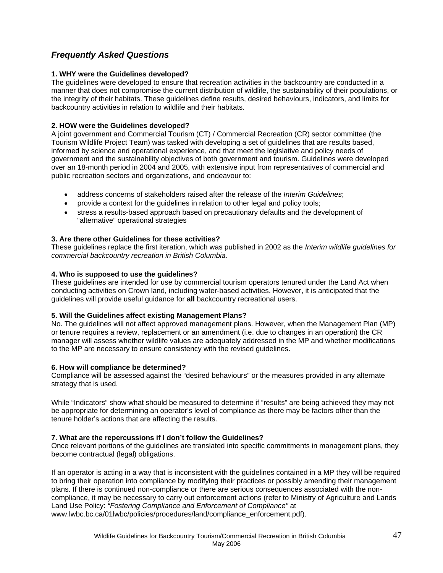# *Frequently Asked Questions*

#### **1. WHY were the Guidelines developed?**

The guidelines were developed to ensure that recreation activities in the backcountry are conducted in a manner that does not compromise the current distribution of wildlife, the sustainability of their populations, or the integrity of their habitats. These guidelines define results, desired behaviours, indicators, and limits for backcountry activities in relation to wildlife and their habitats.

#### **2. HOW were the Guidelines developed?**

A joint government and Commercial Tourism (CT) / Commercial Recreation (CR) sector committee (the Tourism Wildlife Project Team) was tasked with developing a set of guidelines that are results based, informed by science and operational experience, and that meet the legislative and policy needs of government and the sustainability objectives of both government and tourism. Guidelines were developed over an 18-month period in 2004 and 2005, with extensive input from representatives of commercial and public recreation sectors and organizations, and endeavour to:

- address concerns of stakeholders raised after the release of the *Interim Guidelines*;
- provide a context for the guidelines in relation to other legal and policy tools;
- stress a results-based approach based on precautionary defaults and the development of "alternative" operational strategies

#### **3. Are there other Guidelines for these activities?**

These guidelines replace the first iteration, which was published in 2002 as the *Interim wildlife guidelines for commercial backcountry recreation in British Columbia*.

#### **4. Who is supposed to use the guidelines?**

These guidelines are intended for use by commercial tourism operators tenured under the Land Act when conducting activities on Crown land, including water-based activities. However, it is anticipated that the guidelines will provide useful guidance for **all** backcountry recreational users.

#### **5. Will the Guidelines affect existing Management Plans?**

No. The guidelines will not affect approved management plans. However, when the Management Plan (MP) or tenure requires a review, replacement or an amendment (i.e. due to changes in an operation) the CR manager will assess whether wildlife values are adequately addressed in the MP and whether modifications to the MP are necessary to ensure consistency with the revised guidelines.

#### **6. How will compliance be determined?**

Compliance will be assessed against the "desired behaviours" or the measures provided in any alternate strategy that is used.

While "Indicators" show what should be measured to determine if "results" are being achieved they may not be appropriate for determining an operator's level of compliance as there may be factors other than the tenure holder's actions that are affecting the results.

#### **7. What are the repercussions if I don't follow the Guidelines?**

Once relevant portions of the guidelines are translated into specific commitments in management plans, they become contractual (legal) obligations.

If an operator is acting in a way that is inconsistent with the guidelines contained in a MP they will be required to bring their operation into compliance by modifying their practices or possibly amending their management plans. If there is continued non-compliance or there are serious consequences associated with the noncompliance, it may be necessary to carry out enforcement actions (refer to Ministry of Agriculture and Lands Land Use Policy: *"Fostering Compliance and Enforcement of Compliance"* at www.lwbc.bc.ca/01lwbc/policies/procedures/land/compliance\_enforcement.pdf).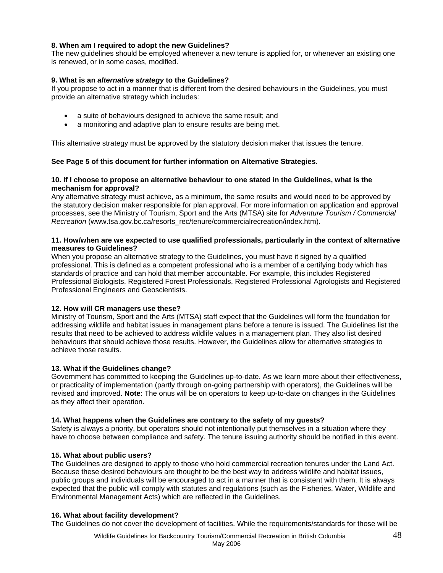#### **8. When am I required to adopt the new Guidelines?**

The new guidelines should be employed whenever a new tenure is applied for, or whenever an existing one is renewed, or in some cases, modified.

#### **9. What is an** *alternative strategy* **to the Guidelines?**

If you propose to act in a manner that is different from the desired behaviours in the Guidelines, you must provide an alternative strategy which includes:

- a suite of behaviours designed to achieve the same result; and
- a monitoring and adaptive plan to ensure results are being met.

This alternative strategy must be approved by the statutory decision maker that issues the tenure.

## **See Page 5 of this document for further information on Alternative Strategies**.

#### **10. If I choose to propose an alternative behaviour to one stated in the Guidelines, what is the mechanism for approval?**

Any alternative strategy must achieve, as a minimum, the same results and would need to be approved by the statutory decision maker responsible for plan approval. For more information on application and approval processes, see the Ministry of Tourism, Sport and the Arts (MTSA) site for *Adventure Tourism / Commercial Recreation* (www.tsa.gov.bc.ca/resorts\_rec/tenure/commercialrecreation/index.htm).

#### **11. How/when are we expected to use qualified professionals, particularly in the context of alternative measures to Guidelines?**

When you propose an alternative strategy to the Guidelines, you must have it signed by a qualified professional. This is defined as a competent professional who is a member of a certifying body which has standards of practice and can hold that member accountable. For example, this includes Registered Professional Biologists, Registered Forest Professionals, Registered Professional Agrologists and Registered Professional Engineers and Geoscientists.

#### **12. How will CR managers use these?**

Ministry of Tourism, Sport and the Arts (MTSA) staff expect that the Guidelines will form the foundation for addressing wildlife and habitat issues in management plans before a tenure is issued. The Guidelines list the results that need to be achieved to address wildlife values in a management plan. They also list desired behaviours that should achieve those results. However, the Guidelines allow for alternative strategies to achieve those results.

#### **13. What if the Guidelines change?**

Government has committed to keeping the Guidelines up-to-date. As we learn more about their effectiveness, or practicality of implementation (partly through on-going partnership with operators), the Guidelines will be revised and improved. **Note**: The onus will be on operators to keep up-to-date on changes in the Guidelines as they affect their operation.

#### **14. What happens when the Guidelines are contrary to the safety of my guests?**

Safety is always a priority, but operators should not intentionally put themselves in a situation where they have to choose between compliance and safety. The tenure issuing authority should be notified in this event.

#### **15. What about public users?**

The Guidelines are designed to apply to those who hold commercial recreation tenures under the Land Act. Because these desired behaviours are thought to be the best way to address wildlife and habitat issues, public groups and individuals will be encouraged to act in a manner that is consistent with them. It is always expected that the public will comply with statutes and regulations (such as the Fisheries, Water, Wildlife and Environmental Management Acts) which are reflected in the Guidelines.

#### **16. What about facility development?**

The Guidelines do not cover the development of facilities. While the requirements/standards for those will be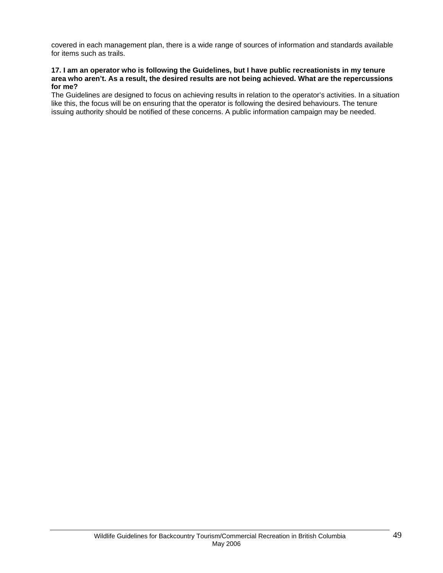covered in each management plan, there is a wide range of sources of information and standards available for items such as trails.

#### **17. I am an operator who is following the Guidelines, but I have public recreationists in my tenure area who aren't. As a result, the desired results are not being achieved. What are the repercussions for me?**

The Guidelines are designed to focus on achieving results in relation to the operator's activities. In a situation like this, the focus will be on ensuring that the operator is following the desired behaviours. The tenure issuing authority should be notified of these concerns. A public information campaign may be needed.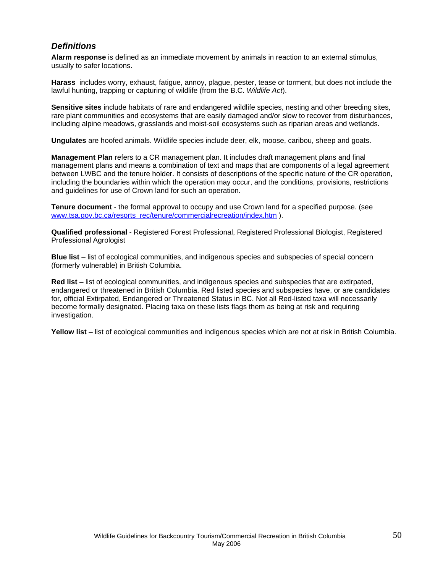# *Definitions*

**Alarm response** is defined as an immediate movement by animals in reaction to an external stimulus, usually to safer locations.

**Harass** includes worry, exhaust, fatigue, annoy, plague, pester, tease or torment, but does not include the lawful hunting, trapping or capturing of wildlife (from the B.C. *Wildlife Act*).

**Sensitive sites** include habitats of rare and endangered wildlife species, nesting and other breeding sites, rare plant communities and ecosystems that are easily damaged and/or slow to recover from disturbances, including alpine meadows, grasslands and moist-soil ecosystems such as riparian areas and wetlands.

**Ungulates** are hoofed animals. Wildlife species include deer, elk, moose, caribou, sheep and goats.

**Management Plan** refers to a CR management plan. It includes draft management plans and final management plans and means a combination of text and maps that are components of a legal agreement between LWBC and the tenure holder. It consists of descriptions of the specific nature of the CR operation, including the boundaries within which the operation may occur, and the conditions, provisions, restrictions and guidelines for use of Crown land for such an operation.

**Tenure document** - the formal approval to occupy and use Crown land for a specified purpose. (see www.tsa.gov.bc.ca/resorts\_rec/tenure/commercialrecreation/index.htm ).

**Qualified professional** - Registered Forest Professional, Registered Professional Biologist, Registered Professional Agrologist

**Blue list** – list of ecological communities, and indigenous species and subspecies of special concern (formerly vulnerable) in British Columbia.

**Red list** – list of ecological communities, and indigenous species and subspecies that are extirpated, endangered or threatened in British Columbia. Red listed species and subspecies have, or are candidates for, official Extirpated, Endangered or Threatened Status in BC. Not all Red-listed taxa will necessarily become formally designated. Placing taxa on these lists flags them as being at risk and requiring investigation.

**Yellow list** – list of ecological communities and indigenous species which are not at risk in British Columbia.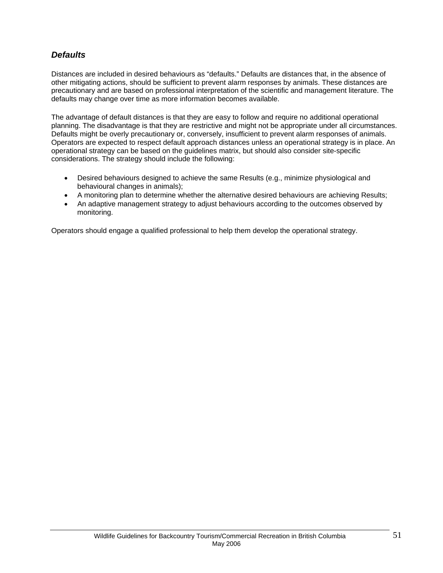# *Defaults*

Distances are included in desired behaviours as "defaults." Defaults are distances that, in the absence of other mitigating actions, should be sufficient to prevent alarm responses by animals. These distances are precautionary and are based on professional interpretation of the scientific and management literature. The defaults may change over time as more information becomes available.

The advantage of default distances is that they are easy to follow and require no additional operational planning. The disadvantage is that they are restrictive and might not be appropriate under all circumstances. Defaults might be overly precautionary or, conversely, insufficient to prevent alarm responses of animals. Operators are expected to respect default approach distances unless an operational strategy is in place. An operational strategy can be based on the guidelines matrix, but should also consider site-specific considerations. The strategy should include the following:

- Desired behaviours designed to achieve the same Results (e.g., minimize physiological and behavioural changes in animals);
- A monitoring plan to determine whether the alternative desired behaviours are achieving Results;
- An adaptive management strategy to adjust behaviours according to the outcomes observed by monitoring.

Operators should engage a qualified professional to help them develop the operational strategy.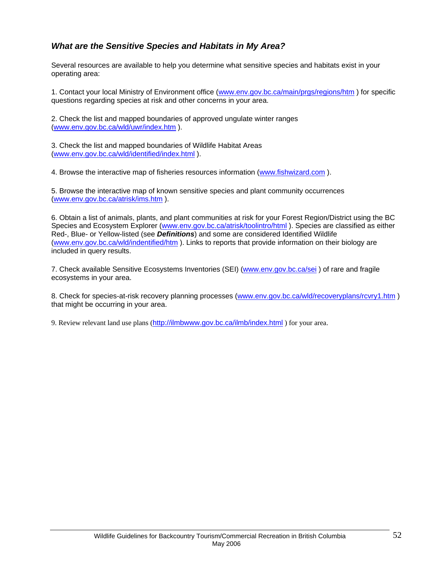# *What are the Sensitive Species and Habitats in My Area?*

Several resources are available to help you determine what sensitive species and habitats exist in your operating area:

1. Contact your local Ministry of Environment office (www.env.gov.bc.ca/main/prgs/regions/htm) for specific questions regarding species at risk and other concerns in your area.

2. Check the list and mapped boundaries of approved ungulate winter ranges (www.env.gov.bc.ca/wld/uwr/index.htm ).

3. Check the list and mapped boundaries of Wildlife Habitat Areas (www.env.gov.bc.ca/wld/identified/index.html ).

4. Browse the interactive map of fisheries resources information (www.fishwizard.com ).

5. Browse the interactive map of known sensitive species and plant community occurrences (www.env.gov.bc.ca/atrisk/ims.htm ).

6. Obtain a list of animals, plants, and plant communities at risk for your Forest Region/District using the BC Species and Ecosystem Explorer (www.env.gov.bc.ca/atrisk/toolintro/html). Species are classified as either Red-, Blue- or Yellow-listed (see *Definitions*) and some are considered Identified Wildlife (www.env.gov.bc.ca/wld/indentified/htm ). Links to reports that provide information on their biology are included in query results.

7. Check available Sensitive Ecosystems Inventories (SEI) (www.env.gov.bc.ca/sei ) of rare and fragile ecosystems in your area.

8. Check for species-at-risk recovery planning processes (www.env.gov.bc.ca/wld/recoveryplans/rcvry1.htm ) that might be occurring in your area.

9. Review relevant land use plans (http://ilmbwww.gov.bc.ca/ilmb/index.html ) for your area.